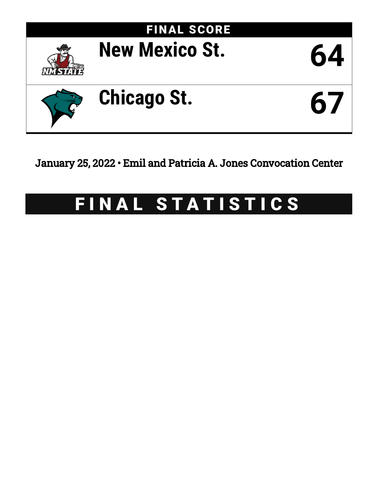

January 25, 2022 • Emil and Patricia A. Jones Convocation Center

# FINAL STATISTICS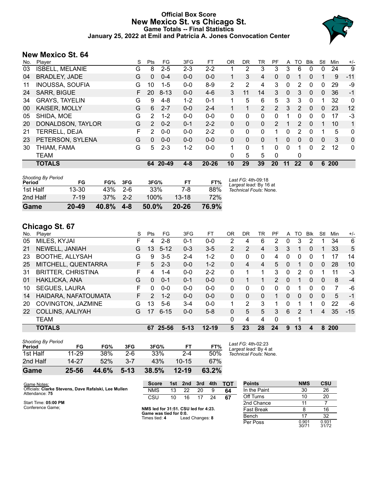# **Official Box Score New Mexico St. vs Chicago St. Game Totals -- Final Statistics January 25, 2022 at Emil and Patricia A. Jones Convocation Center**



# **New Mexico St. 64**

| No. | Player                 | S  | Pts            | FG        | 3FG     | FT.       | 0R             | DR.      | TR             | PF             | A            | TO            | Blk          | Stl          | Min | $+/-$ |
|-----|------------------------|----|----------------|-----------|---------|-----------|----------------|----------|----------------|----------------|--------------|---------------|--------------|--------------|-----|-------|
| 03  | <b>ISBELL, MELANIE</b> | G  | 8              | $2 - 5$   | 2-3     | $2 - 2$   |                | 2        | 3              | 3              | 3            | 6             | 0            | 0            | 24  | 9     |
| 04  | <b>BRADLEY, JADE</b>   | G  | $\Omega$       | $0 - 4$   | $0 - 0$ | $0 - 0$   | 1.             | 3        | 4              | 0              | 0            |               | $\Omega$     |              | 9   | $-11$ |
| 11  | <b>INOUSSA, SOUFIA</b> | G  | 10             | $1 - 5$   | $0 - 0$ | $8-9$     | $\overline{2}$ | 2        | 4              | 3              | 0            | 2             | 0            | 0            | 29  | -9    |
| 24  | <b>SARR, BIGUE</b>     | F  | 20             | $8 - 13$  | $0 - 0$ | $4-6$     | 3              | 11       | 14             | 3              | $\mathbf{0}$ | 3             | $\mathbf{0}$ | 0            | 36  | $-1$  |
| 34  | <b>GRAYS, TAYELIN</b>  | G  | 9              | $4 - 8$   | $1 - 2$ | $0 - 1$   |                | 5        | 6              | 5.             | 3            | 3             | $\Omega$     |              | 32  | 0     |
| 00  | KAISER, MOLLY          | G  | 6              | $2 - 7$   | $0 - 0$ | $2 - 4$   |                | 1        | $\overline{2}$ | $\overline{2}$ | 3            | 2             | $\mathbf{0}$ | $\mathbf{0}$ | 23  | 12    |
| 05  | SHIDA, MOE             | G  | $\overline{2}$ | $1 - 2$   | $0 - 0$ | $0 - 0$   | 0              | 0        | 0              | 0              |              | 0             | 0            | 0            | 17  | $-3$  |
| 20  | DONALDSON, TAYLOR      | G  | $\mathcal{P}$  | $0 - 2$   | $0 - 1$ | $2 - 2$   | 0              | $\Omega$ | $\Omega$       | $\mathcal{P}$  |              | $\mathcal{P}$ | $\Omega$     | 1            | 10  | 1     |
| 21  | TERRELL, DEJA          | F. | 2              | $0 - 0$   | $0 - 0$ | $2 - 2$   | 0              | 0        | 0              | 1              | 0            | 2             | $\Omega$     |              | 5   | 0     |
| 23  | PETERSON, SYLENA       | G  | $\Omega$       | $0 - 0$   | $0 - 0$ | $0 - 0$   | 0              | $\Omega$ | $\Omega$       | 1              | 0            | $\Omega$      | $\Omega$     | $\mathbf{0}$ | 3   | 0     |
| 30  | THIAM, FAMA            | G  | 5              | $2 - 3$   | $1 - 2$ | $0 - 0$   |                | 0        | 1              | 0              | $\Omega$     |               | 0            | 2            | 12  | 0     |
|     | <b>TEAM</b>            |    |                |           |         |           | 0              | 5        | 5              | 0              |              | 0             |              |              |     |       |
|     | <b>TOTALS</b>          |    | 64             | $20 - 49$ | $4 - 8$ | $20 - 26$ | 10             | 29       | 39             | 20             | 11           | $22 \,$       | $\bf{0}$     | 6            | 200 |       |

| Game                                | 20-49 | 40.8% | $4 - 8$ | 50.0% | $20 - 26$ | 76.9% |                                              |
|-------------------------------------|-------|-------|---------|-------|-----------|-------|----------------------------------------------|
| 2nd Half                            | 7-19  | 37%   | $2-2$   | 100%  | $13-18$   | 72%   |                                              |
| 1st Half                            | 13-30 | 43%   | -2-6    | 33%   | 7-8       | 88%   | Technical Fouls: None.                       |
| <b>Shooting By Period</b><br>Period | FG    | FG%   | 3FG     | 3FG%  | FТ        | FT%   | Last FG: 4th-09:18<br>Largest lead: By 16 at |

# **Chicago St. 67**

| No. | Player                    | S  | Pts           | FG       | 3FG      | FT.       | ΟR             | DR | TR | PF             | A            | TO | <b>B</b> lk  | Stl      | Min        | $+/-$ |
|-----|---------------------------|----|---------------|----------|----------|-----------|----------------|----|----|----------------|--------------|----|--------------|----------|------------|-------|
| 05  | MILES, KYJAI              | F  | 4             | $2 - 8$  | $0 - 1$  | $0 - 0$   | 2              | 4  | 6  | $\overline{2}$ | 0            | 3  | 2            |          | 34         | 6     |
| 21  | NEWELL, JANIAH            | G  | 13            | $5 - 12$ | $0 - 3$  | $3 - 5$   | $\overline{2}$ | 2  | 4  | 3              | 3            | 1  | $\Omega$     |          | 33         | 5     |
| 23  | <b>BOOTHE, ALLYSAH</b>    | G  | 9             | $3 - 5$  | $2 - 4$  | $1 - 2$   | $\mathbf{0}$   | 0  | 0  | 4              | 0            | 0  | 0            |          | 17         | 14    |
| 25  | MITCHELL, QUENTARRA       | F. | 5             | $2 - 3$  | $0 - 0$  | $1 - 2$   | $\Omega$       | 4  | 4  | 5              | 0            |    | 0            | 0        | 28         | 10    |
| 31  | <b>BRITTER, CHRISTINA</b> | F  | 4             | $1 - 4$  | $0 - 0$  | $2 - 2$   | $\Omega$       |    |    | 3              | $\Omega$     | 2  | 0            |          | 11         | -3    |
| 01  | HAKLICKA, ANA             | G  | $\Omega$      | $0 - 1$  | $0 - 1$  | $0 - 0$   | 0              |    | 1  | 2              | 0            | 1  | $\mathbf{0}$ | $\Omega$ | 8          | $-4$  |
| 10  | <b>SEGUES, LAURA</b>      | F  | 0             | $0 - 0$  | $0 - 0$  | $0-0$     | $\mathbf{0}$   | 0  | 0  | 0              | 0            |    | 0            | 0        | 7          | -6    |
| 14  | HAIDARA, NAFATOUMATA      | F. | $\mathcal{P}$ | $1 - 2$  | $0 - 0$  | $0 - 0$   | 0              | 0  | 0  |                | $\mathbf{0}$ | 0  | $\mathbf{0}$ | $\Omega$ | 5          | $-1$  |
| 20  | COVINGTON, JAZMINE        | G  | 13            | $5-6$    | $3 - 4$  | $0 - 0$   | 1              | 2  | 3  |                | 0            |    |              | 0        | 22         | -6    |
| 22  | COLLINS, AALIYAH          | G  | 17            | $6 - 15$ | $0 - 0$  | $5-8$     | 0              | 5  | 5  | 3              | 6            | 2  |              | 4        | 35         | $-15$ |
|     | <b>TEAM</b>               |    |               |          |          |           | $\Omega$       | 4  | 4  | $\Omega$       |              | 1  |              |          |            |       |
|     | <b>TOTALS</b>             |    | 67            | 25-56    | $5 - 13$ | $12 - 19$ | 5              | 23 | 28 | 24             | 9            | 13 | 4            | 8        | <b>200</b> |       |
|     |                           |    |               |          |          |           |                |    |    |                |              |    |              |          |            |       |

| Game                                | 25-56     | 44.6% | $5 - 13$ | 38.5% | $12 - 19$ | 63.2% |              |
|-------------------------------------|-----------|-------|----------|-------|-----------|-------|--------------|
| 2nd Half                            | 14-27     | 52%   | $3 - 7$  | 43%   | $10 - 15$ | 67%   |              |
| 1st Half                            | $11 - 29$ | 38%   | $2-6$    | 33%   | $2 - 4$   | 50%   | Tecl         |
| <b>Shooting By Period</b><br>Period | FG        | FG%   | 3FG      | 3FG%  | FT        | FT%   | Last<br>Larg |

*Last FG:* 4th-02:23 *Largest lead:* By 4 at *Technical Fouls:* None.

| Game Notes:                                          | <b>Score</b>                                   | 1st | 2nd             | 3rd | 4th | <b>TOT</b> | <b>Points</b>     | <b>NMS</b>     | <b>CSU</b>     |
|------------------------------------------------------|------------------------------------------------|-----|-----------------|-----|-----|------------|-------------------|----------------|----------------|
| Officials: Clarke Stevens, Dave Rafalski, Lee Mullen | <b>NMS</b>                                     | 13  | 22              | 20  |     | 64         | In the Paint      | 30             | 26             |
| Attendance: 75                                       | CSU                                            | 10  | 16              |     | 24  | 67         | Off Turns         | 10             | 20             |
| Start Time: 05:00 PM                                 |                                                |     |                 |     |     |            | 2nd Chance        |                |                |
| Conference Game:                                     | NMS led for 31:51. CSU led for 4:23.           |     |                 |     |     |            | <b>Fast Break</b> |                | 16             |
|                                                      | Game was tied for 0:0.<br>Times tied: <b>4</b> |     | Lead Changes: 8 |     |     |            | Bench             |                | 32             |
|                                                      |                                                |     |                 |     |     |            | Per Poss          | 0.901<br>30/71 | 0.931<br>31/72 |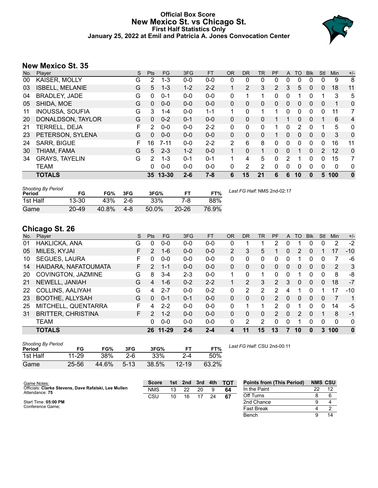### **Official Box Score New Mexico St. vs Chicago St. First Half Statistics Only January 25, 2022 at Emil and Patricia A. Jones Convocation Center**



# **New Mexico St. 35**

| No. | Player                 | S  | <b>Pts</b> | FG       | 3FG     | <b>FT</b> | 0R           | <b>DR</b> | <b>TR</b>   | PF       | A | TO       | <b>Blk</b> | Stl      | <b>Min</b> | $+/-$    |
|-----|------------------------|----|------------|----------|---------|-----------|--------------|-----------|-------------|----------|---|----------|------------|----------|------------|----------|
| 00  | KAISER, MOLLY          | G  | 2          | $1 - 3$  | $0 - 0$ | $0-0$     | 0            | 0         | 0           | 0        | 0 | 0        | 0          | 0        | 9          | 8        |
| 03  | <b>ISBELL, MELANIE</b> | G  | 5          | $1 - 3$  | $1 - 2$ | $2 - 2$   |              | 2         | 3           | 2        | 3 | 5        | $\Omega$   | 0        | 18         | 11       |
| 04  | <b>BRADLEY, JADE</b>   | G  | $\Omega$   | $0 - 1$  | $0 - 0$ | $0 - 0$   | 0            | 1         | 1           | 0        | 0 |          | 0          | 1        | 3          | 5        |
| 05  | SHIDA, MOE             | G  | $\Omega$   | $0 - 0$  | $0 - 0$ | $0 - 0$   | $\mathbf{0}$ | $\Omega$  | $\mathbf 0$ | $\Omega$ | 0 | $\Omega$ | 0          | 0        | 1          | 0        |
| 11  | <b>INOUSSA, SOUFIA</b> | G  | 3          | $1 - 4$  | $0 - 0$ | $1 - 1$   | 1            | 0         | 1           | 1        | 0 | 0        | 0          | 0        | 11         | 7        |
| 20  | DONALDSON, TAYLOR      | G  | $\Omega$   | $0 - 2$  | $0 - 1$ | $0 - 0$   | 0            | 0         | 0           |          |   | 0        | 0          |          | 6          | 4        |
| 21  | <b>TERRELL, DEJA</b>   | F. | 2          | $0 - 0$  | $0 - 0$ | $2 - 2$   | 0            | 0         | 0           | 1        | 0 | 2        | 0          | 1        | 5          | 0        |
| 23  | PETERSON, SYLENA       | G  | $\Omega$   | $0 - 0$  | $0 - 0$ | $0 - 0$   | 0            | $\Omega$  | $\Omega$    | 1        | 0 | $\Omega$ | $\Omega$   | $\Omega$ | 3          | 0        |
| 24  | SARR, BIGUE            | F  | 16         | $7 - 11$ | $0 - 0$ | $2 - 2$   | 2            | 6         | 8           | 0        | 0 | 0        | $\Omega$   | 0        | 16         | 11       |
| 30  | THIAM, FAMA            | G  | 5          | $2 - 3$  | $1 - 2$ | $0 - 0$   | $\mathbf{1}$ | 0         | 1           | 0        | 0 |          | $\Omega$   | 2        | 12         | 0        |
| 34  | <b>GRAYS, TAYELIN</b>  | G  | 2          | $1 - 3$  | $0 - 1$ | $0 - 1$   | 1.           | 4         | 5           | $\Omega$ | 2 | 1        | $\Omega$   | 0        | 15         | 7        |
|     | <b>TEAM</b>            |    | 0          | $0 - 0$  | $0 - 0$ | $0 - 0$   | 0            | 2         | 2           | 0        | 0 | 0        | 0          | 0        | 0          | 0        |
|     | <b>TOTALS</b>          |    |            | 35 13-30 | $2 - 6$ | $7 - 8$   | 6            | 15        | 21          | 6        | 6 | 10       | 0          | 5        | 100        | $\bf{0}$ |

| <b>Shooting By Period</b><br>Period | FG        | FG%   | 3FG     | 3FG%  | ET        | FT%   | Last FG Half: NMS 2nd-02:17 |
|-------------------------------------|-----------|-------|---------|-------|-----------|-------|-----------------------------|
| 1st Half                            | $13 - 30$ | 43%   | -2-6    | 33%   | 7-8       | 88%   |                             |
| Game                                | $20 - 49$ | 40.8% | $4 - 8$ | 50.0% | $20 - 26$ | 76.9% |                             |

# **Chicago St. 26**

| No. | <b>Plaver</b>             | S  | <b>Pts</b>    | FG        | 3FG     | <b>FT</b> | <b>OR</b>      | DR       | TR       | <b>PF</b>      | A        | TO             | <b>B</b> lk | Stl | Min      | $+/-$        |
|-----|---------------------------|----|---------------|-----------|---------|-----------|----------------|----------|----------|----------------|----------|----------------|-------------|-----|----------|--------------|
| 01  | HAKLICKA, ANA             | G  | 0             | $0 - 0$   | $0 - 0$ | $0 - 0$   | 0              |          |          | 2              | 0        |                | 0           | 0   | 2        | $-2$         |
| 05  | MILES, KYJAI              | F  | $\mathcal{P}$ | $1 - 6$   | $0 - 0$ | $0 - 0$   | $\overline{2}$ | 3        | 5        |                | 0        | $\overline{2}$ | $\Omega$    |     | 17       | $-10$        |
| 10  | SEGUES, LAURA             | F  | 0             | $0 - 0$   | $0 - 0$ | $0 - 0$   | 0              | 0        | 0        | 0              | 0        |                | 0           | 0   |          | -6           |
| 14  | HAIDARA, NAFATOUMATA      | F. | $\mathcal{P}$ | $1 - 1$   | $0 - 0$ | $0 - 0$   | 0              | 0        | 0        | 0              | 0        | 0              | 0           | 0   | 2        | 3            |
| 20  | COVINGTON, JAZMINE        | G  | 8             | $3 - 4$   | $2 - 3$ | $0 - 0$   | 1              | 0        | 1        | 0              | 0        |                | 0           | 0   | 8        | -8           |
| 21  | NEWELL, JANIAH            | G  | 4             | $1 - 6$   | $0 - 2$ | $2 - 2$   | 1              | 2        | 3        | $\overline{2}$ | 3        | 0              | $\Omega$    | 0   | 18       | $-7$         |
| 22  | COLLINS, AALIYAH          | G  | 4             | $2 - 7$   | $0 - 0$ | $0 - 2$   | 0              | 2        | 2        | 2              | 4        | 1              | $\Omega$    |     | 17       | $-10$        |
| 23  | <b>BOOTHE, ALLYSAH</b>    | G  | 0             | $0 - 1$   | $0 - 1$ | $0 - 0$   | $\Omega$       | $\Omega$ | $\Omega$ | 2              | $\Omega$ | 0              | $\Omega$    | 0   |          | $\mathbf{1}$ |
| 25  | MITCHELL, QUENTARRA       | F  | 4             | $2 - 2$   | $0 - 0$ | $0 - 0$   | 0              |          |          | 2              | 0        |                | 0           | 0   | 14       | -5           |
| 31  | <b>BRITTER, CHRISTINA</b> | F. | $\mathcal{P}$ | $1 - 2$   | $0 - 0$ | $0 - 0$   | 0              | 0        | $\Omega$ | 2              | $\Omega$ | 2              | $\Omega$    |     | 8        | $-1$         |
|     | <b>TEAM</b>               |    | 0             | $0 - 0$   | $0 - 0$ | $0 - 0$   | 0              | 2        | 2        | $\Omega$       | 0        |                | 0           | 0   | $\Omega$ | 0            |
|     | <b>TOTALS</b>             |    | 26            | $11 - 29$ | $2 - 6$ | $2 - 4$   | 4              | 11       | 15       | 13             |          | 10             | 0           | 3   | 100      | $\mathbf{0}$ |
|     |                           |    |               |           |         |           |                |          |          |                |          |                |             |     |          |              |

| <b>Shooting By Period</b><br>Period | FG        | FG%   | 3FG      | 3FG%  | FТ        | FT%   |  |
|-------------------------------------|-----------|-------|----------|-------|-----------|-------|--|
| 1st Half                            | 11-29     | 38%   | $2-6$    | 33%   | 2-4       | 50%   |  |
| Game                                | $25 - 56$ | 44.6% | $5 - 13$ | 38.5% | $12 - 19$ | 63.2% |  |

*Last FG Half:* CSU 2nd-00:11

| Game Notes:                                                            | Score      | 1st | 2nd | 3rd | 4th | <b>TOT</b> | <b>Points from (This Period)</b> | <b>NMS CSU</b> |
|------------------------------------------------------------------------|------------|-----|-----|-----|-----|------------|----------------------------------|----------------|
| Officials: Clarke Stevens, Dave Rafalski, Lee Mullen<br>Attendance: 75 | <b>NMS</b> |     | つつ  | 20  |     | 64         | In the Paint                     |                |
|                                                                        | CSU        | 10  |     |     | 24  | - 67       | Off Turns                        |                |
| Start Time: 05:00 PM                                                   |            |     |     |     |     |            | 2nd Chance                       |                |
| Conference Game:                                                       |            |     |     |     |     |            | <b>Fast Break</b>                |                |
|                                                                        |            |     |     |     |     |            | Bench                            | 14             |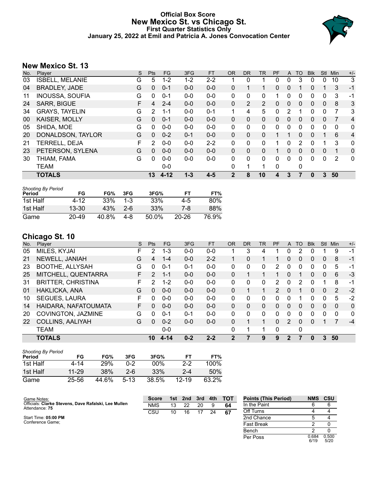# **Official Box Score New Mexico St. vs Chicago St. First Quarter Statistics Only January 25, 2022 at Emil and Patricia A. Jones Convocation Center**



# **New Mexico St. 13**

| No. | Player                 | S | <b>Pts</b>     | <b>FG</b> | 3FG     | <b>FT</b> | <b>OR</b> | <b>DR</b>    | TR             | PF       | $\mathsf{A}$ | TO       | <b>Blk</b> | <b>Stl</b>   | Min | $+/-$          |
|-----|------------------------|---|----------------|-----------|---------|-----------|-----------|--------------|----------------|----------|--------------|----------|------------|--------------|-----|----------------|
| 03  | <b>ISBELL, MELANIE</b> | G | 5              | $1 - 2$   | 1-2     | $2 - 2$   |           | 0            |                | 0        | 0            | 3        | 0          | 0            | 10  | 3              |
| 04  | <b>BRADLEY, JADE</b>   | G | $\mathbf{0}$   | $0 - 1$   | $0 - 0$ | $0 - 0$   | 0         |              | 1              | 0        | $\mathbf{0}$ |          | 0          |              | 3   | $-1$           |
| 11  | <b>INOUSSA, SOUFIA</b> | G | 0              | $0 - 1$   | $0 - 0$ | $0 - 0$   | 0         | $\Omega$     | 0              |          | $\Omega$     | 0        | 0          | 0            | 3   | -1             |
| 24  | <b>SARR, BIGUE</b>     | F | 4              | $2 - 4$   | $0 - 0$ | $0 - 0$   | 0         | 2            | $\overline{2}$ | 0        | $\Omega$     | 0        | 0          | $\mathbf{0}$ | 8   | 3              |
| 34  | <b>GRAYS, TAYELIN</b>  | G | $\overline{2}$ | $1 - 1$   | $0 - 0$ | $0 - 1$   | 1         | 4            | 5              | 0        | 2            |          | 0          | $\Omega$     | 7   | 3              |
| 00  | KAISER, MOLLY          | G | $\Omega$       | $0 - 1$   | $0 - 0$ | $0 - 0$   | $\Omega$  | $\Omega$     | 0              | $\Omega$ | $\Omega$     | 0        | 0          | $\Omega$     | 7   | $\overline{4}$ |
| 05  | SHIDA, MOE             | G | 0              | $0 - 0$   | $0 - 0$ | $0 - 0$   | 0         | 0            | 0              | 0        | $\Omega$     | 0        | 0          | $\Omega$     | 0   | 0              |
| 20  | DONALDSON, TAYLOR      | G | $\Omega$       | $0 - 2$   | $0 - 1$ | $0 - 0$   | $\Omega$  | $\mathbf{0}$ | 0              |          |              | $\Omega$ | 0          |              | 6   | $\overline{4}$ |
| 21  | TERRELL, DEJA          | F | 2              | $0 - 0$   | $0 - 0$ | $2 - 2$   | $\Omega$  | $\Omega$     | 0              |          | 0            | 2        | 0          |              | 3   | 0              |
| 23  | PETERSON, SYLENA       | G | 0              | $0 - 0$   | $0 - 0$ | $0 - 0$   | $\Omega$  | $\Omega$     | 0              |          | 0            | 0        | 0          | $\Omega$     | 1   | 0              |
| 30  | THIAM, FAMA            | G | 0              | $0 - 0$   | $0 - 0$ | $0 - 0$   | $\Omega$  | $\Omega$     | 0              | 0        | $\Omega$     | 0        | 0          | $\Omega$     | 2   | 0              |
|     | <b>TEAM</b>            |   |                | $0 - 0$   |         |           | $\Omega$  | 1            | 1              | 0        |              | 0        |            |              |     |                |
|     | <b>TOTALS</b>          |   | 13             | $4 - 12$  | $1 - 3$ | $4 - 5$   | 2         | 8            | 10             | 4        | 3            |          | 0          | 3            | 50  |                |

| <b>Shooting By Period</b><br>Period | FG        | FG%   | 3FG     | 3FG%  | FТ        | FT%   |
|-------------------------------------|-----------|-------|---------|-------|-----------|-------|
| 1st Half                            | 4-12      | 33%   | $1 - 3$ | 33%   | 4-5       | 80%   |
| 1st Half                            | $13 - 30$ | 43%   | $2 - 6$ | 33%   | 7-8       | 88%   |
| Game                                | 20-49     | 40.8% | 4-8     | 50.0% | $20 - 26$ | 76.9% |

# **Chicago St. 10**

| No. | Player                    | S  | <b>Pts</b> | <b>FG</b> | 3FG     | <b>FT</b> | 0R       | <b>DR</b> | <b>TR</b>    | <b>PF</b> | A            | TO       | <b>Blk</b>   | <b>Stl</b> | Min      | $+/-$        |
|-----|---------------------------|----|------------|-----------|---------|-----------|----------|-----------|--------------|-----------|--------------|----------|--------------|------------|----------|--------------|
| 05  | MILES, KYJAI              | F. | 2          | $1 - 3$   | $0 - 0$ | $0 - 0$   |          | 3         | 4            |           | 0            | 2        | 0            |            | 9        | $-1$         |
| 21  | NEWELL, JANIAH            | G  | 4          | $1 - 4$   | $0 - 0$ | $2 - 2$   |          | 0         |              |           | 0            | 0        | 0            | 0          | 8        | $-1$         |
| 23  | <b>BOOTHE, ALLYSAH</b>    | G  | $\Omega$   | $0 - 1$   | $0 - 1$ | $0 - 0$   | 0        | 0         | 0            | 2         | 0            | 0        | 0            | 0          | 5        | -1           |
| 25  | MITCHELL, QUENTARRA       | F. | 2          | $1 - 1$   | $0 - 0$ | $0 - 0$   | $\Omega$ |           | $\mathbf{1}$ |           | 0            |          | 0            | 0          | 6        | $-3$         |
| 31  | <b>BRITTER, CHRISTINA</b> | F. | 2          | $1 - 2$   | $0 - 0$ | $0 - 0$   | 0        | 0         | 0            | 2         | 0            | 2        | 0            |            | 8        | $-1$         |
| 01  | HAKLICKA, ANA             | G  | $\Omega$   | $0 - 0$   | $0 - 0$ | $0 - 0$   | 0        |           | 1            | 2         | 0            |          | 0            | $\Omega$   | 2        | $-2$         |
| 10  | <b>SEGUES, LAURA</b>      | F  | $\Omega$   | $0 - 0$   | $0 - 0$ | $0-0$     | 0        | 0         | $\Omega$     | 0         | 0            |          | 0            | 0          | 5        | $-2$         |
| 14  | HAIDARA, NAFATOUMATA      | F. | $\Omega$   | $0 - 0$   | $0 - 0$ | $0 - 0$   | $\Omega$ | 0         | 0            | 0         | $\Omega$     | $\Omega$ | 0            | $\Omega$   | $\Omega$ | $\mathbf{0}$ |
| 20  | COVINGTON, JAZMINE        | G  | $\Omega$   | $0 - 1$   | $0 - 1$ | $0-0$     | 0        | 0         | $\mathbf{0}$ | 0         | 0            | 0        | 0            | 0          | $\Omega$ | $\mathbf{0}$ |
| 22  | COLLINS, AALIYAH          | G  | $\Omega$   | $0 - 2$   | $0 - 0$ | $0 - 0$   | $\Omega$ |           | 1            | 0         | 2            | $\Omega$ | 0            |            |          | $-4$         |
|     | <b>TEAM</b>               |    |            | $0 - 0$   |         |           | 0        |           | 1            | 0         |              | 0        |              |            |          |              |
|     | <b>TOTALS</b>             |    | 10         | 4-14      | $0 - 2$ | $2 - 2$   | 2        |           | 9            | 9         | $\mathbf{2}$ |          | $\mathbf{0}$ | 3          | 50       |              |

| <b>Shooting By Period</b><br>Period | FG    | FG%        | 3FG    | 3FG%   | FТ        | FT%     |
|-------------------------------------|-------|------------|--------|--------|-----------|---------|
| 1st Half                            | 4-14  | <b>29%</b> | በ-2    | $00\%$ | $2-2$     | $100\%$ |
| 1st Half                            | 11-29 | 38%        | 2-6    | 33%    | $2 - 4$   | 50%     |
| Game                                | 25-56 | 44.6%      | $5-13$ | 38.5%  | $12 - 19$ | 63.2%   |

| Game Notes:                                                            | <b>Score</b> | 1st l | 2nd | 3rd | 4th | <b>TOT</b> | <b>Points (This Period)</b> | <b>NMS</b>    | <b>CSU</b>    |
|------------------------------------------------------------------------|--------------|-------|-----|-----|-----|------------|-----------------------------|---------------|---------------|
| Officials: Clarke Stevens, Dave Rafalski, Lee Mullen<br>Attendance: 75 | <b>NMS</b>   | 13    | 22  | 20  |     | 64         | In the Paint                |               |               |
|                                                                        | CSU          | 10    | 16  |     | 24  | 67         | Off Turns                   |               |               |
| Start Time: 05:00 PM                                                   |              |       |     |     |     |            | 2nd Chance                  |               |               |
| Conference Game:                                                       |              |       |     |     |     |            | <b>Fast Break</b>           |               |               |
|                                                                        |              |       |     |     |     |            | Bench                       |               |               |
|                                                                        |              |       |     |     |     |            | Per Poss                    | 0.684<br>6/19 | 0.500<br>5/20 |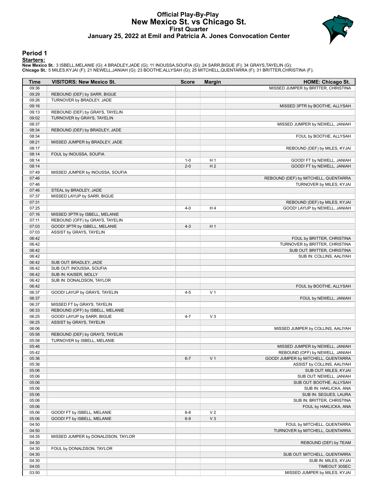# **Official Play-By-Play New Mexico St. vs Chicago St. First Quarter January 25, 2022 at Emil and Patricia A. Jones Convocation Center**



### **Period 1**

<mark>Starters:</mark><br>New Mexico St.: 3 ISBELL,MELANIE (G); 4 BRADLEY,JADE (G); 11 INOUSSA,SOUFIA (G); 24 SARR,BIGUE (F); 34 GRAYS,TAYELIN (G);<br>Chicago St.: 5 MILES,KYJAI (F); 21 NEWELL,JANIAH (G); 23 BOOTHE,ALLYSAH (G); 25 MITCHELL

| Time           | <b>VISITORS: New Mexico St.</b>    | <b>Score</b> | <b>Margin</b>  | <b>HOME: Chicago St.</b>                                           |
|----------------|------------------------------------|--------------|----------------|--------------------------------------------------------------------|
| 09:36          |                                    |              |                | MISSED JUMPER by BRITTER, CHRISTINA                                |
| 09:29          | REBOUND (DEF) by SARR, BIGUE       |              |                |                                                                    |
| 09:26          | TURNOVER by BRADLEY, JADE          |              |                |                                                                    |
| 09:16          |                                    |              |                | MISSED 3PTR by BOOTHE, ALLYSAH                                     |
| 09:13          | REBOUND (DEF) by GRAYS, TAYELIN    |              |                |                                                                    |
| 09:02          | TURNOVER by GRAYS, TAYELIN         |              |                |                                                                    |
| 08:37          |                                    |              |                | MISSED JUMPER by NEWELL, JANIAH                                    |
| 08:34          | REBOUND (DEF) by BRADLEY, JADE     |              |                |                                                                    |
| 08:34          |                                    |              |                | FOUL by BOOTHE, ALLYSAH                                            |
| 08:21<br>08:17 | MISSED JUMPER by BRADLEY, JADE     |              |                | REBOUND (DEF) by MILES, KYJAI                                      |
| 08:14          | FOUL by INOUSSA, SOUFIA            |              |                |                                                                    |
| 08:14          |                                    | $1 - 0$      | H <sub>1</sub> | GOOD! FT by NEWELL, JANIAH                                         |
| 08:14          |                                    | $2 - 0$      | H <sub>2</sub> | GOOD! FT by NEWELL, JANIAH                                         |
| 07:49          | MISSED JUMPER by INOUSSA, SOUFIA   |              |                |                                                                    |
| 07:46          |                                    |              |                | REBOUND (DEF) by MITCHELL, QUENTARRA                               |
| 07:46          |                                    |              |                | TURNOVER by MILES, KYJAI                                           |
| 07:46          | STEAL by BRADLEY, JADE             |              |                |                                                                    |
| 07:37          | MISSED LAYUP by SARR, BIGUE        |              |                |                                                                    |
| 07:31          |                                    |              |                | REBOUND (DEF) by MILES, KYJAI                                      |
| 07:25          |                                    | $4 - 0$      | H4             | GOOD! LAYUP by NEWELL, JANIAH                                      |
| 07:16          | MISSED 3PTR by ISBELL, MELANIE     |              |                |                                                                    |
| 07:11          | REBOUND (OFF) by GRAYS, TAYELIN    |              |                |                                                                    |
| 07:03          | GOOD! 3PTR by ISBELL, MELANIE      | $4 - 3$      | H <sub>1</sub> |                                                                    |
| 07:03          | ASSIST by GRAYS, TAYELIN           |              |                |                                                                    |
| 06:42          |                                    |              |                | FOUL by BRITTER, CHRISTINA                                         |
| 06:42<br>06:42 |                                    |              |                | TURNOVER by BRITTER, CHRISTINA                                     |
| 06:42          |                                    |              |                | SUB OUT: BRITTER, CHRISTINA<br>SUB IN: COLLINS, AALIYAH            |
| 06:42          | SUB OUT: BRADLEY, JADE             |              |                |                                                                    |
| 06:42          | SUB OUT: INOUSSA, SOUFIA           |              |                |                                                                    |
| 06:42          | SUB IN: KAISER, MOLLY              |              |                |                                                                    |
| 06:42          | SUB IN: DONALDSON, TAYLOR          |              |                |                                                                    |
| 06:42          |                                    |              |                | FOUL by BOOTHE, ALLYSAH                                            |
| 06:37          | GOOD! LAYUP by GRAYS, TAYELIN      | $4 - 5$      | V <sub>1</sub> |                                                                    |
| 06:37          |                                    |              |                | FOUL by NEWELL, JANIAH                                             |
| 06:37          | MISSED FT by GRAYS, TAYELIN        |              |                |                                                                    |
| 06:33          | REBOUND (OFF) by ISBELL, MELANIE   |              |                |                                                                    |
| 06:25          | GOOD! LAYUP by SARR, BIGUE         | $4 - 7$      | $V_3$          |                                                                    |
| 06:25          | ASSIST by GRAYS, TAYELIN           |              |                |                                                                    |
| 06:06          |                                    |              |                | MISSED JUMPER by COLLINS, AALIYAH                                  |
| 05:58          | REBOUND (DEF) by GRAYS, TAYELIN    |              |                |                                                                    |
| 05:58          | TURNOVER by ISBELL, MELANIE        |              |                |                                                                    |
| 05:46<br>05:42 |                                    |              |                | MISSED JUMPER by NEWELL, JANIAH<br>REBOUND (OFF) by NEWELL, JANIAH |
| 05:36          |                                    | $6 - 7$      | V <sub>1</sub> | GOOD! JUMPER by MITCHELL, QUENTARRA                                |
| 05:36          |                                    |              |                | ASSIST by COLLINS, AALIYAH                                         |
| 05:06          |                                    |              |                | SUB OUT: MILES, KYJAI                                              |
| 05:06          |                                    |              |                | SUB OUT: NEWELL, JANIAH                                            |
| 05:06          |                                    |              |                | SUB OUT: BOOTHE, ALLYSAH                                           |
| 05:06          |                                    |              |                | SUB IN: HAKLICKA, ANA                                              |
| 05:06          |                                    |              |                | SUB IN: SEGUES, LAURA                                              |
| 05:06          |                                    |              |                | SUB IN: BRITTER, CHRISTINA                                         |
| 05:06          |                                    |              |                | FOUL by HAKLICKA, ANA                                              |
| 05:06          | GOOD! FT by ISBELL, MELANIE        | $6 - 8$      | V <sub>2</sub> |                                                                    |
| 05:06          | GOOD! FT by ISBELL, MELANIE        | $6-9$        | $V_3$          |                                                                    |
| 04:50          |                                    |              |                | FOUL by MITCHELL, QUENTARRA                                        |
| 04:50          |                                    |              |                | TURNOVER by MITCHELL, QUENTARRA                                    |
| 04:35          | MISSED JUMPER by DONALDSON, TAYLOR |              |                |                                                                    |
| 04:30          |                                    |              |                | REBOUND (DEF) by TEAM                                              |
| 04:30          | FOUL by DONALDSON, TAYLOR          |              |                |                                                                    |
| 04:30          |                                    |              |                | SUB OUT: MITCHELL, QUENTARRA                                       |
| 04:30<br>04:05 |                                    |              |                | SUB IN: MILES, KYJAI                                               |
| 03:50          |                                    |              |                | TIMEOUT 30SEC<br>MISSED JUMPER by MILES, KYJAI                     |
|                |                                    |              |                |                                                                    |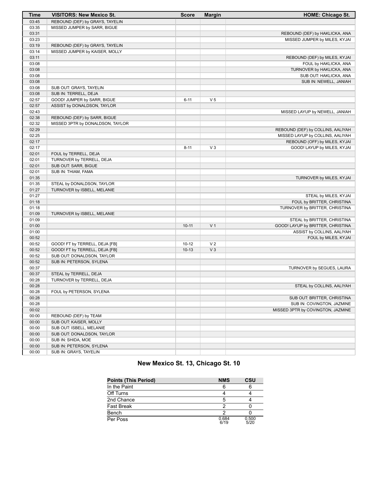| <b>Time</b> | <b>VISITORS: New Mexico St.</b>  | <b>Score</b> | <b>Margin</b>  | <b>HOME: Chicago St.</b>          |
|-------------|----------------------------------|--------------|----------------|-----------------------------------|
| 03:45       | REBOUND (DEF) by GRAYS, TAYELIN  |              |                |                                   |
| 03:35       | MISSED JUMPER by SARR, BIGUE     |              |                |                                   |
| 03:31       |                                  |              |                | REBOUND (DEF) by HAKLICKA, ANA    |
| 03:23       |                                  |              |                | MISSED JUMPER by MILES, KYJAI     |
| 03:19       | REBOUND (DEF) by GRAYS, TAYELIN  |              |                |                                   |
| 03:14       | MISSED JUMPER by KAISER, MOLLY   |              |                |                                   |
| 03:11       |                                  |              |                | REBOUND (DEF) by MILES, KYJAI     |
| 03:08       |                                  |              |                | FOUL by HAKLICKA, ANA             |
| 03:08       |                                  |              |                | TURNOVER by HAKLICKA, ANA         |
| 03:08       |                                  |              |                | SUB OUT: HAKLICKA, ANA            |
| 03:08       |                                  |              |                | SUB IN: NEWELL, JANIAH            |
| 03:08       | SUB OUT: GRAYS, TAYELIN          |              |                |                                   |
| 03:08       | SUB IN: TERRELL, DEJA            |              |                |                                   |
| 02:57       | GOOD! JUMPER by SARR, BIGUE      | $6 - 11$     | V <sub>5</sub> |                                   |
| 02:57       | ASSIST by DONALDSON, TAYLOR      |              |                |                                   |
| 02:43       |                                  |              |                | MISSED LAYUP by NEWELL, JANIAH    |
| 02:38       | REBOUND (DEF) by SARR, BIGUE     |              |                |                                   |
| 02:32       | MISSED 3PTR by DONALDSON, TAYLOR |              |                |                                   |
| 02:29       |                                  |              |                | REBOUND (DEF) by COLLINS, AALIYAH |
| 02:25       |                                  |              |                | MISSED LAYUP by COLLINS, AALIYAH  |
| 02:17       |                                  |              |                | REBOUND (OFF) by MILES, KYJAI     |
| 02:17       |                                  | $8 - 11$     | $V_3$          | GOOD! LAYUP by MILES, KYJAI       |
| 02:01       | FOUL by TERRELL, DEJA            |              |                |                                   |
| 02:01       | TURNOVER by TERRELL, DEJA        |              |                |                                   |
| 02:01       | SUB OUT: SARR, BIGUE             |              |                |                                   |
| 02:01       | SUB IN: THIAM, FAMA              |              |                |                                   |
| 01:35       |                                  |              |                | TURNOVER by MILES, KYJAI          |
| 01:35       | STEAL by DONALDSON, TAYLOR       |              |                |                                   |
| 01:27       | TURNOVER by ISBELL, MELANIE      |              |                |                                   |
| 01:27       |                                  |              |                | STEAL by MILES, KYJAI             |
| 01:18       |                                  |              |                | FOUL by BRITTER, CHRISTINA        |
| 01:18       |                                  |              |                | TURNOVER by BRITTER, CHRISTINA    |
| 01:09       | TURNOVER by ISBELL, MELANIE      |              |                |                                   |
| 01:09       |                                  |              |                | STEAL by BRITTER, CHRISTINA       |
| 01:00       |                                  | $10 - 11$    | V <sub>1</sub> | GOOD! LAYUP by BRITTER, CHRISTINA |
| 01:00       |                                  |              |                | ASSIST by COLLINS, AALIYAH        |
| 00:52       |                                  |              |                | FOUL by MILES, KYJAI              |
| 00:52       | GOOD! FT by TERRELL, DEJA [FB]   | $10 - 12$    | V <sub>2</sub> |                                   |
| 00:52       | GOOD! FT by TERRELL, DEJA [FB]   | $10-13$      | V <sub>3</sub> |                                   |
| 00:52       | SUB OUT: DONALDSON, TAYLOR       |              |                |                                   |
| 00:52       | SUB IN: PETERSON, SYLENA         |              |                |                                   |
| 00:37       |                                  |              |                | TURNOVER by SEGUES, LAURA         |
| 00:37       | STEAL by TERRELL, DEJA           |              |                |                                   |
| 00:28       | TURNOVER by TERRELL, DEJA        |              |                |                                   |
| 00:28       |                                  |              |                | STEAL by COLLINS, AALIYAH         |
| 00:28       | FOUL by PETERSON, SYLENA         |              |                |                                   |
| 00:28       |                                  |              |                | SUB OUT: BRITTER, CHRISTINA       |
| 00:28       |                                  |              |                | SUB IN: COVINGTON, JAZMINE        |
| 00:02       |                                  |              |                | MISSED 3PTR by COVINGTON, JAZMINE |
| 00:00       | REBOUND (DEF) by TEAM            |              |                |                                   |
| 00:00       | SUB OUT: KAISER, MOLLY           |              |                |                                   |
| 00:00       | SUB OUT: ISBELL, MELANIE         |              |                |                                   |
| 00:00       | SUB OUT: DONALDSON, TAYLOR       |              |                |                                   |
| 00:00       | SUB IN: SHIDA, MOE               |              |                |                                   |
| 00:00       | SUB IN: PETERSON, SYLENA         |              |                |                                   |
| 00:00       | SUB IN: GRAYS, TAYELIN           |              |                |                                   |

# **New Mexico St. 13, Chicago St. 10**

| <b>Points (This Period)</b> | <b>NMS</b>    | <b>CSU</b>    |
|-----------------------------|---------------|---------------|
| In the Paint                |               |               |
| Off Turns                   |               |               |
| 2nd Chance                  | 5             |               |
| <b>Fast Break</b>           | າ             |               |
| Bench                       | ◠             |               |
| Per Poss                    | 0.684<br>6/19 | 0.500<br>5/20 |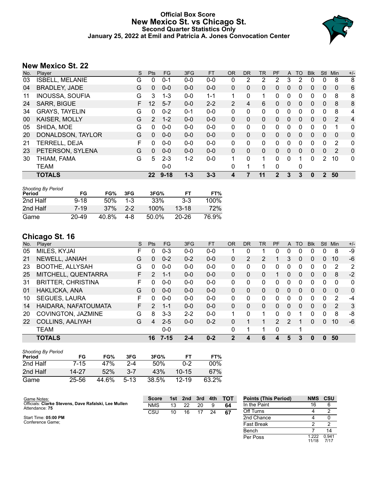# **Official Box Score New Mexico St. vs Chicago St. Second Quarter Statistics Only January 25, 2022 at Emil and Patricia A. Jones Convocation Center**



# **New Mexico St. 22**

| No. | Player                 | S | <b>Pts</b> | <b>FG</b> | 3FG     | <b>FT</b> | <b>OR</b> | <b>DR</b>    | TR | PF          | A            | TO | <b>Blk</b> | <b>Stl</b>     | Min          | $+/-$          |
|-----|------------------------|---|------------|-----------|---------|-----------|-----------|--------------|----|-------------|--------------|----|------------|----------------|--------------|----------------|
| 03  | <b>ISBELL, MELANIE</b> | G | 0          | $0 - 1$   | $0-0$   | $0 - 0$   | 0         | 2            | 2  | 2           | 3            | 2  | 0          | 0              | 8            | 8              |
| 04  | <b>BRADLEY, JADE</b>   | G | 0          | $0 - 0$   | $0 - 0$ | $0 - 0$   | 0         | $\mathbf{0}$ | 0  | 0           | $\mathbf{0}$ | 0  | 0          | $\mathbf{0}$   | $\Omega$     | 6              |
| 11  | <b>INOUSSA, SOUFIA</b> | G | 3          | 1-3       | $0 - 0$ | $1 - 1$   |           | $\mathbf{0}$ | 1  | 0           | 0            | 0  | 0          | 0              | 8            | 8              |
| 24  | <b>SARR, BIGUE</b>     | F | 12         | $5 - 7$   | $0 - 0$ | $2 - 2$   | 2         | 4            | 6  | 0           | $\Omega$     | 0  | 0          | $\mathbf{0}$   | 8            | 8              |
| 34  | <b>GRAYS, TAYELIN</b>  | G | 0          | $0 - 2$   | $0 - 1$ | $0 - 0$   | $\Omega$  | $\mathbf{0}$ | 0  | 0           | $\Omega$     | 0  | 0          | $\Omega$       | 8            | 4              |
| 00  | KAISER, MOLLY          | G | 2          | $1 - 2$   | $0 - 0$ | $0 - 0$   | $\Omega$  | $\Omega$     | 0  | $\Omega$    | $\Omega$     | 0  | 0          | $\Omega$       | 2            | $\overline{4}$ |
| 05  | SHIDA, MOE             | G | 0          | $0 - 0$   | $0 - 0$ | $0 - 0$   | 0         | 0            | 0  | 0           | $\Omega$     | 0  | 0          | $\mathbf 0$    | 1            | 0              |
| 20  | DONALDSON, TAYLOR      | G | $\Omega$   | $0 - 0$   | $0 - 0$ | $0 - 0$   | $\Omega$  | $\mathbf{0}$ | 0  | $\Omega$    | $\Omega$     | 0  | 0          | $\Omega$       | $\mathbf{0}$ | 0              |
| 21  | TERRELL, DEJA          | F | 0          | $0 - 0$   | $0 - 0$ | $0 - 0$   | $\Omega$  | $\Omega$     | 0  | 0           | $\Omega$     | 0  | 0          | $\Omega$       | 2            | 0              |
| 23  | PETERSON, SYLENA       | G | 0          | $0 - 0$   | $0 - 0$ | $0 - 0$   | $\Omega$  | $\Omega$     | 0  | $\Omega$    | $\Omega$     | 0  | 0          | $\Omega$       | 2            | 0              |
| 30  | THIAM, FAMA            | G | 5          | $2 - 3$   | $1 - 2$ | $0 - 0$   | 1         | $\Omega$     | 1  | 0           | $\Omega$     |    | 0          | $\mathcal{P}$  | 10           | 0              |
|     | <b>TEAM</b>            |   |            | $0 - 0$   |         |           | $\Omega$  | 1            | 1  | 0           |              | 0  |            |                |              |                |
|     | <b>TOTALS</b>          |   | $22 \,$    | $9 - 18$  | $1 - 3$ | $3 - 3$   | 4         |              | 11 | $\mathbf 2$ | 3            | 3  | 0          | $\overline{2}$ | 50           |                |

| <b>Shooting By Period</b><br>Period | FG        | FG%   | 3FG     | 3FG%    | FТ        | FT%   |
|-------------------------------------|-----------|-------|---------|---------|-----------|-------|
| 2nd Half                            | $9 - 18$  | 50%   | $1 - 3$ | 33%     | $3-3$     | 100%  |
| 2nd Half                            | 7-19      | 37%   | $2-2$   | $100\%$ | $13-18$   | 72%   |
| Game                                | $20 - 49$ | 40.8% | 4-8     | 50.0%   | $20 - 26$ | 76.9% |

# **Chicago St. 16**

| No. | Player                    | S  | <b>Pts</b>   | FG       | 3FG     | <b>FT</b> | <b>OR</b>     | <b>DR</b> | TR | PF             | A             | TO       | <b>Blk</b> | Stl          | Min            | $+/-$        |
|-----|---------------------------|----|--------------|----------|---------|-----------|---------------|-----------|----|----------------|---------------|----------|------------|--------------|----------------|--------------|
| 05  | MILES, KYJAI              | F  | 0            | $0 - 3$  | $0 - 0$ | $0 - 0$   |               | 0         | 1  | 0              | 0             | 0        | 0          | 0            | 8              | -9           |
| 21  | NEWELL, JANIAH            | G  | $\mathbf{0}$ | $0 - 2$  | $0 - 2$ | $0 - 0$   | 0             | 2         | 2  |                | 3             | 0        | 0          | 0            | 10             | $-6$         |
| 23  | <b>BOOTHE, ALLYSAH</b>    | G  | 0            | $0 - 0$  | $0 - 0$ | $0 - 0$   | 0             | 0         | 0  | 0              | 0             | 0        | 0          | 0            | 2              | 2            |
| 25  | MITCHELL, QUENTARRA       | F. | 2            | $1 - 1$  | $0 - 0$ | $0 - 0$   | $\Omega$      | 0         | 0  |                | 0             | $\Omega$ | 0          | 0            | 8              | $-2$         |
| 31  | <b>BRITTER, CHRISTINA</b> | F  | 0            | $0 - 0$  | $0 - 0$ | $0-0$     | $\Omega$      | 0         | 0  | 0              | 0             | $\Omega$ | 0          | 0            | $\Omega$       | 0            |
| 01  | HAKLICKA, ANA             | G  | $\Omega$     | $0 - 0$  | $0 - 0$ | $0 - 0$   | $\Omega$      | $\Omega$  | 0  | 0              | 0             | $\Omega$ | $\Omega$   | 0            | $\Omega$       | $\mathbf{0}$ |
| 10  | <b>SEGUES, LAURA</b>      | F  | 0            | $0 - 0$  | $0 - 0$ | $0-0$     | $\Omega$      | 0         | 0  | 0              | 0             | 0        | 0          | 0            | 2              | -4           |
| 14  | HAIDARA, NAFATOUMATA      | F. | 2            | $1 - 1$  | $0 - 0$ | $0 - 0$   | $\Omega$      | 0         | 0  | 0              | $\Omega$      | $\Omega$ | 0          | 0            | $\overline{2}$ | 3            |
| 20  | COVINGTON, JAZMINE        | G  | 8            | $3 - 3$  | $2 - 2$ | $0 - 0$   |               | 0         | 1  | 0              | 0             |          | 0          | 0            | 8              | -8           |
| 22  | <b>COLLINS, AALIYAH</b>   | G  | 4            | $2 - 5$  | $0 - 0$ | $0 - 2$   | $\Omega$      |           | 1  | $\overline{2}$ | $\mathcal{P}$ |          | 0          | $\Omega$     | 10             | $-6$         |
|     | <b>TEAM</b>               |    |              | $0 - 0$  |         |           | 0             | 1         | 1  | 0              |               | 1        |            |              |                |              |
|     | <b>TOTALS</b>             |    | 16           | $7 - 15$ | $2 - 4$ | $0 - 2$   | $\mathcal{P}$ | 4         | 6  | 4              | 5             | 3        | 0          | $\mathbf{0}$ | 50             |              |

| <b>Shooting By Period</b><br>Period | FG        | FG%   | 3FG     | 3FG%  | FТ        | FT%    |
|-------------------------------------|-----------|-------|---------|-------|-----------|--------|
| 2nd Half                            | 7-15      | 47%   | $2 - 4$ | 50%   | $0 - 2$   | $00\%$ |
| 2nd Half                            | 14-27     | 52%   | 3-7     | 43%   | $10 - 15$ | 67%    |
| Game                                | $25 - 56$ | 44.6% | $5-13$  | 38.5% | $12 - 19$ | 63.2%  |

| Game Notes:                                                            | <b>Score</b> | 1st l | 2nd | 3rd | 4th | <b>TOT</b> | <b>Points (This Period)</b> | <b>NMS</b>    | <b>CSU</b>    |
|------------------------------------------------------------------------|--------------|-------|-----|-----|-----|------------|-----------------------------|---------------|---------------|
| Officials: Clarke Stevens, Dave Rafalski, Lee Mullen<br>Attendance: 75 | <b>NMS</b>   | 13    | 22  | 20  | 9   | 64         | In the Paint                | 16            |               |
|                                                                        | CSU          | 10    | 16  |     | 24  | 67         | Off Turns                   |               |               |
| Start Time: 05:00 PM                                                   |              |       |     |     |     |            | 2nd Chance                  |               |               |
| Conference Game:                                                       |              |       |     |     |     |            | <b>Fast Break</b>           |               |               |
|                                                                        |              |       |     |     |     |            | Bench                       |               | 14            |
|                                                                        |              |       |     |     |     |            | Per Poss                    | .222<br>11/18 | 0.941<br>7/17 |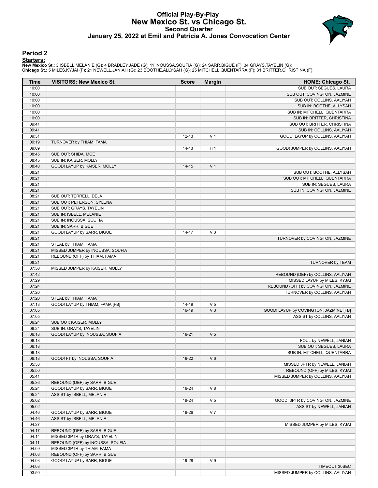### **Official Play-By-Play New Mexico St. vs Chicago St. Second Quarter January 25, 2022 at Emil and Patricia A. Jones Convocation Center**



### **Period 2**

<mark>Starters:</mark><br>New Mexico St.: 3 ISBELL,MELANIE (G); 4 BRADLEY,JADE (G); 11 INOUSSA,SOUFIA (G); 24 SARR,BIGUE (F); 34 GRAYS,TAYELIN (G);<br>Chicago St.: 5 MILES,KYJAI (F); 21 NEWELL,JANIAH (G); 23 BOOTHE,ALLYSAH (G); 25 MITCHELL

| <b>Time</b> | <b>VISITORS: New Mexico St.</b>  | <b>Score</b> | <b>Margin</b>  | <b>HOME: Chicago St.</b>               |
|-------------|----------------------------------|--------------|----------------|----------------------------------------|
| 10:00       |                                  |              |                | SUB OUT: SEGUES, LAURA                 |
| 10:00       |                                  |              |                | SUB OUT: COVINGTON, JAZMINE            |
| 10:00       |                                  |              |                | SUB OUT: COLLINS, AALIYAH              |
| 10:00       |                                  |              |                | SUB IN: BOOTHE, ALLYSAH                |
| 10:00       |                                  |              |                | SUB IN: MITCHELL, QUENTARRA            |
| 10:00       |                                  |              |                | SUB IN: BRITTER, CHRISTINA             |
| 09:41       |                                  |              |                | SUB OUT: BRITTER, CHRISTINA            |
| 09:41       |                                  |              |                | SUB IN: COLLINS, AALIYAH               |
| 09:31       |                                  | $12 - 13$    | V <sub>1</sub> | GOOD! LAYUP by COLLINS, AALIYAH        |
| 09:19       | TURNOVER by THIAM, FAMA          |              |                |                                        |
| 09:09       |                                  | $14 - 13$    | H <sub>1</sub> | GOOD! JUMPER by COLLINS, AALIYAH       |
| 08:45       | SUB OUT: SHIDA, MOE              |              |                |                                        |
| 08:45       | SUB IN: KAISER, MOLLY            |              |                |                                        |
| 08:40       | GOOD! LAYUP by KAISER, MOLLY     | $14 - 15$    | V <sub>1</sub> |                                        |
| 08:21       |                                  |              |                | SUB OUT: BOOTHE, ALLYSAH               |
| 08:21       |                                  |              |                | SUB OUT: MITCHELL, QUENTARRA           |
| 08:21       |                                  |              |                | SUB IN: SEGUES, LAURA                  |
| 08:21       |                                  |              |                | SUB IN: COVINGTON, JAZMINE             |
| 08:21       | SUB OUT: TERRELL, DEJA           |              |                |                                        |
| 08:21       | SUB OUT: PETERSON, SYLENA        |              |                |                                        |
| 08:21       | SUB OUT: GRAYS, TAYELIN          |              |                |                                        |
| 08:21       | SUB IN: ISBELL, MELANIE          |              |                |                                        |
| 08:21       | SUB IN: INOUSSA, SOUFIA          |              |                |                                        |
| 08:21       | SUB IN: SARR, BIGUE              |              |                |                                        |
| 08:21       | GOOD! LAYUP by SARR, BIGUE       | $14 - 17$    | V <sub>3</sub> |                                        |
| 08:21       |                                  |              |                | TURNOVER by COVINGTON, JAZMINE         |
| 08:21       | STEAL by THIAM, FAMA             |              |                |                                        |
| 08:21       | MISSED JUMPER by INOUSSA, SOUFIA |              |                |                                        |
| 08:21       | REBOUND (OFF) by THIAM, FAMA     |              |                |                                        |
| 08:21       |                                  |              |                | TURNOVER by TEAM                       |
| 07:50       | MISSED JUMPER by KAISER, MOLLY   |              |                |                                        |
| 07:42       |                                  |              |                | REBOUND (DEF) by COLLINS, AALIYAH      |
| 07:29       |                                  |              |                | MISSED LAYUP by MILES, KYJAI           |
| 07:24       |                                  |              |                | REBOUND (OFF) by COVINGTON, JAZMINE    |
| 07:20       |                                  |              |                | TURNOVER by COLLINS, AALIYAH           |
| 07:20       | STEAL by THIAM, FAMA             |              |                |                                        |
| 07:13       | GOOD! LAYUP by THIAM, FAMA [FB]  | 14-19        | V <sub>5</sub> |                                        |
| 07:05       |                                  | 16-19        | V <sub>3</sub> | GOOD! LAYUP by COVINGTON, JAZMINE [FB] |
| 07:05       |                                  |              |                | ASSIST by COLLINS, AALIYAH             |
| 06:24       | SUB OUT: KAISER, MOLLY           |              |                |                                        |
| 06:24       | SUB IN: GRAYS, TAYELIN           |              |                |                                        |
| 06:18       | GOOD! LAYUP by INOUSSA, SOUFIA   | $16 - 21$    | V <sub>5</sub> |                                        |
| 06:18       |                                  |              |                | FOUL by NEWELL, JANIAH                 |
| 06:18       |                                  |              |                | SUB OUT: SEGUES, LAURA                 |
| 06:18       |                                  |              |                | SUB IN: MITCHELL, QUENTARRA            |
| 06:18       | GOOD! FT by INOUSSA, SOUFIA      | $16 - 22$    | $V_6$          |                                        |
| 05:53       |                                  |              |                | MISSED 3PTR by NEWELL, JANIAH          |
| 05:50       |                                  |              |                | REBOUND (OFF) by MILES, KYJAI          |
| 05:41       |                                  |              |                | MISSED JUMPER by COLLINS, AALIYAH      |
| 05:36       | REBOUND (DEF) by SARR, BIGUE     |              |                |                                        |
| 05:24       | GOOD! LAYUP by SARR, BIGUE       | 16-24        | V8             |                                        |
| 05:24       | ASSIST by ISBELL, MELANIE        |              |                |                                        |
| 05:02       |                                  | 19-24        | V <sub>5</sub> | GOOD! 3PTR by COVINGTON, JAZMINE       |
| 05:02       |                                  |              |                | ASSIST by NEWELL, JANIAH               |
| 04:46       | GOOD! LAYUP by SARR, BIGUE       | 19-26        | V <sub>7</sub> |                                        |
| 04:46       | ASSIST by ISBELL, MELANIE        |              |                |                                        |
| 04:27       |                                  |              |                | MISSED JUMPER by MILES, KYJAI          |
| 04:17       | REBOUND (DEF) by SARR, BIGUE     |              |                |                                        |
| 04:14       | MISSED 3PTR by GRAYS, TAYELIN    |              |                |                                        |
| 04:11       | REBOUND (OFF) by INOUSSA, SOUFIA |              |                |                                        |
| 04:09       | MISSED 3PTR by THIAM, FAMA       |              |                |                                        |
| 04:03       | REBOUND (OFF) by SARR, BIGUE     |              |                |                                        |
| 04:03       | GOOD! LAYUP by SARR, BIGUE       | 19-28        | V <sub>9</sub> |                                        |
| 04:03       |                                  |              |                | TIMEOUT 30SEC                          |
| 03:50       |                                  |              |                | MISSED JUMPER by COLLINS, AALIYAH      |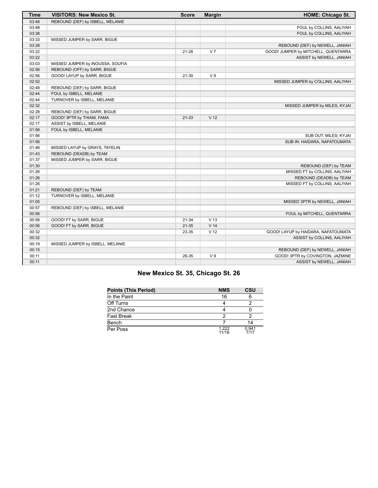| <b>Time</b> | <b>VISITORS: New Mexico St.</b>  | <b>Score</b> | <b>Margin</b>   | <b>HOME: Chicago St.</b>            |
|-------------|----------------------------------|--------------|-----------------|-------------------------------------|
| 03:48       | REBOUND (DEF) by ISBELL, MELANIE |              |                 |                                     |
| 03:48       |                                  |              |                 | FOUL by COLLINS, AALIYAH            |
| 03:38       |                                  |              |                 | FOUL by COLLINS, AALIYAH            |
| 03:33       | MISSED JUMPER by SARR, BIGUE     |              |                 |                                     |
| 03:28       |                                  |              |                 | REBOUND (DEF) by NEWELL, JANIAH     |
| 03:22       |                                  | 21-28        | V <sub>7</sub>  | GOOD! JUMPER by MITCHELL, QUENTARRA |
| 03:22       |                                  |              |                 | ASSIST by NEWELL, JANIAH            |
| 03:03       | MISSED JUMPER by INOUSSA, SOUFIA |              |                 |                                     |
| 02:56       | REBOUND (OFF) by SARR, BIGUE     |              |                 |                                     |
| 02:56       | GOOD! LAYUP by SARR, BIGUE       | 21-30        | V <sub>9</sub>  |                                     |
| 02:52       |                                  |              |                 | MISSED JUMPER by COLLINS, AALIYAH   |
| 02:48       | REBOUND (DEF) by SARR, BIGUE     |              |                 |                                     |
| 02:44       | FOUL by ISBELL, MELANIE          |              |                 |                                     |
| 02:44       | TURNOVER by ISBELL, MELANIE      |              |                 |                                     |
| 02:32       |                                  |              |                 | MISSED JUMPER by MILES, KYJAI       |
| 02:28       | REBOUND (DEF) by SARR, BIGUE     |              |                 |                                     |
| 02:17       | GOOD! 3PTR by THIAM, FAMA        | 21-33        | V <sub>12</sub> |                                     |
| 02:17       | ASSIST by ISBELL, MELANIE        |              |                 |                                     |
| 01:56       | FOUL by ISBELL, MELANIE          |              |                 |                                     |
| 01:56       |                                  |              |                 | SUB OUT: MILES, KYJAI               |
| 01:56       |                                  |              |                 | SUB IN: HAIDARA, NAFATOUMATA        |
| 01:46       | MISSED LAYUP by GRAYS, TAYELIN   |              |                 |                                     |
| 01:43       | REBOUND (DEADB) by TEAM          |              |                 |                                     |
| 01:37       | MISSED JUMPER by SARR, BIGUE     |              |                 |                                     |
| 01:30       |                                  |              |                 | REBOUND (DEF) by TEAM               |
| 01:26       |                                  |              |                 | MISSED FT by COLLINS, AALIYAH       |
| 01:26       |                                  |              |                 | REBOUND (DEADB) by TEAM             |
| 01:26       |                                  |              |                 | MISSED FT by COLLINS, AALIYAH       |
| 01:21       | REBOUND (DEF) by TEAM            |              |                 |                                     |
| 01:12       | TURNOVER by ISBELL, MELANIE      |              |                 |                                     |
| 01:05       |                                  |              |                 | MISSED 3PTR by NEWELL, JANIAH       |
| 00:57       | REBOUND (DEF) by ISBELL, MELANIE |              |                 |                                     |
| 00:56       |                                  |              |                 | FOUL by MITCHELL, QUENTARRA         |
| 00:56       | GOOD! FT by SARR, BIGUE          | 21-34        | V <sub>13</sub> |                                     |
| 00:56       | GOOD! FT by SARR, BIGUE          | $21 - 35$    | V <sub>14</sub> |                                     |
| 00:32       |                                  | 23-35        | V <sub>12</sub> | GOOD! LAYUP by HAIDARA, NAFATOUMATA |
| 00:32       |                                  |              |                 | ASSIST by COLLINS, AALIYAH          |
| 00:19       | MISSED JUMPER by ISBELL, MELANIE |              |                 |                                     |
| 00:15       |                                  |              |                 | REBOUND (DEF) by NEWELL, JANIAH     |
| 00:11       |                                  | 26-35        | V <sub>9</sub>  | GOOD! 3PTR by COVINGTON, JAZMINE    |
| 00:11       |                                  |              |                 | ASSIST by NEWELL, JANIAH            |

# **New Mexico St. 35, Chicago St. 26**

| <b>Points (This Period)</b> | <b>NMS</b>     | CSU           |
|-----------------------------|----------------|---------------|
| In the Paint                | 16             |               |
| Off Turns                   |                |               |
| 2nd Chance                  |                |               |
| <b>Fast Break</b>           | າ              |               |
| Bench                       |                | 14            |
| Per Poss                    | 1.222<br>11/18 | 0.941<br>7/17 |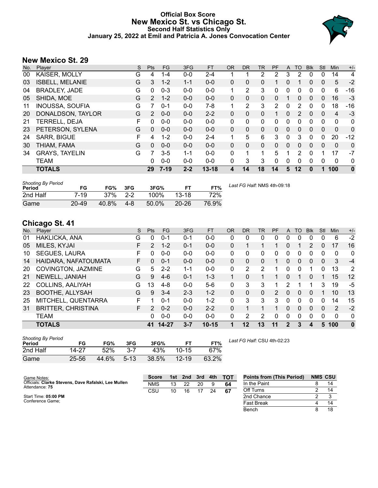# **Official Box Score New Mexico St. vs Chicago St. Second Half Statistics Only January 25, 2022 at Emil and Patricia A. Jones Convocation Center**



# **New Mexico St. 29**

| No. | Plaver                 | S | <b>Pts</b>    | <b>FG</b> | 3FG     | FT.       | <b>OR</b> | <b>DR</b> | TR             | <b>PF</b> | A        | TO       | <b>BIK</b>   | Stl          | Min          | $+/-$    |
|-----|------------------------|---|---------------|-----------|---------|-----------|-----------|-----------|----------------|-----------|----------|----------|--------------|--------------|--------------|----------|
| 00  | KAISER, MOLLY          | G | 4             | $1 - 4$   | $0 - 0$ | $2 - 4$   |           | 1         | $\overline{2}$ | 2         | 3        | 2        | 0            | 0            | 14           | 4        |
| 03  | <b>ISBELL, MELANIE</b> | G | 3             | $1 - 2$   | $1 - 1$ | $0-0$     | 0         | 0         | 0              | 1         | 0        |          | $\mathbf{0}$ | $\mathbf{0}$ | 5            | $-2$     |
| 04  | <b>BRADLEY, JADE</b>   | G | 0             | $0 - 3$   | $0 - 0$ | $0 - 0$   |           | 2         | 3              | 0         | 0        | 0        | 0            | 0            | 6            | $-16$    |
| 05  | SHIDA, MOE             | G | $\mathcal{P}$ | $1 - 2$   | $0 - 0$ | $0 - 0$   | $\Omega$  | $\Omega$  | $\mathbf{0}$   | $\Omega$  | 1        | 0        | 0            | 0            | 16           | $-3$     |
| 11  | <b>INOUSSA, SOUFIA</b> | G | 7             | $0 - 1$   | $0 - 0$ | $7-8$     | 1         | 2         | 3              | 2         | $\Omega$ | 2        | $\Omega$     | 0            | 18           | -16      |
| 20  | DONALDSON, TAYLOR      | G | 2             | $0 - 0$   | $0 - 0$ | $2 - 2$   | 0         | 0         | 0              |           | 0        | 2        | $\Omega$     | 0            | 4            | $-3$     |
| 21  | TERRELL, DEJA          | F | 0             | $0 - 0$   | $0 - 0$ | $0 - 0$   | 0         | 0         | 0              | 0         | 0        | 0        | 0            | $\Omega$     | 0            | 0        |
| 23  | PETERSON, SYLENA       | G | $\Omega$      | $0 - 0$   | $0 - 0$ | $0 - 0$   | 0         | $\Omega$  | $\Omega$       | 0         | 0        | $\Omega$ | $\Omega$     | 0            | $\mathbf{0}$ | 0        |
| 24  | <b>SARR, BIGUE</b>     | F | 4             | $1 - 2$   | $0 - 0$ | $2 - 4$   |           | 5         | 6              | 3         | 0        | 3        | 0            | 0            | 20           | $-12$    |
| 30  | THIAM, FAMA            | G | $\Omega$      | $0 - 0$   | $0 - 0$ | $0 - 0$   | 0         | $\Omega$  | $\mathbf{0}$   | $\Omega$  | $\Omega$ | $\Omega$ | $\Omega$     | $\Omega$     | $\Omega$     | 0        |
| 34  | <b>GRAYS, TAYELIN</b>  | G | 7             | $3 - 5$   | $1 - 1$ | $0 - 0$   | 0         | 1         | 1              | 5.        | 1        | 2        | $\Omega$     |              | 17           | $-7$     |
|     | TEAM                   |   | 0             | $0 - 0$   | $0 - 0$ | $0 - 0$   | 0         | 3         | 3              | 0         | 0        | 0        | $\Omega$     | 0            | 0            | 0        |
|     | <b>TOTALS</b>          |   | 29            | $7-19$    | $2 - 2$ | $13 - 18$ | 4         | 14        | 18             | 14        | 5        | $12 \,$  | 0            | 1            | 100          | $\bf{0}$ |

| <b>Shooting By Period</b><br>Period | FG        | FG%        | 3FG     | 3FG%  | FТ        | FT%   | Last FG Half: NMS 4th-09:18 |
|-------------------------------------|-----------|------------|---------|-------|-----------|-------|-----------------------------|
| 2nd Half                            | 7-19      | $37\%$ 2-2 |         | 100%  | $13-18$   | 72%   |                             |
| Game                                | $20 - 49$ | 40.8%      | $4 - 8$ | 50.0% | $20 - 26$ | 76.9% |                             |

# **Chicago St. 41**

| No. | ີ<br>Plaver               | S  | <b>Pts</b>    | <b>FG</b> | 3FG     | <b>FT</b> | <b>OR</b> | DR       | TR             | PF            | A        | TO       | <b>B</b> lk | Stl          | Min | $+/-$    |
|-----|---------------------------|----|---------------|-----------|---------|-----------|-----------|----------|----------------|---------------|----------|----------|-------------|--------------|-----|----------|
| 01  | HAKLICKA, ANA             | G  | 0             | $0 - 1$   | $0 - 1$ | $0 - 0$   | 0         | 0        | 0              | 0             | 0        | 0        | $\Omega$    | 0            | 6   | $-2$     |
| 05  | MILES, KYJAI              | F. | $\mathcal{P}$ | $1 - 2$   | $0 - 1$ | $0 - 0$   | 0         |          |                |               | 0        |          | 2           | 0            | 17  | 16       |
| 10  | <b>SEGUES, LAURA</b>      |    | 0             | $0 - 0$   | $0 - 0$ | $0 - 0$   | 0         | 0        | 0              | 0             | 0        | 0        | 0           | 0            | 0   | 0        |
| 14  | HAIDARA, NAFATOUMATA      | F. | $\Omega$      | $0 - 1$   | $0 - 0$ | $0 - 0$   | 0         | 0        | 0              |               | 0        | 0        | 0           | $\mathbf{0}$ | 3   | $-4$     |
| 20  | COVINGTON, JAZMINE        | G  | 5             | $2 - 2$   | $1 - 1$ | $0-0$     | 0         | 2        | 2              |               | 0        | 0        |             | 0            | 13  | 2        |
| 21  | NEWELL, JANIAH            | G  | 9             | $4-6$     | $0 - 1$ | $1 - 3$   |           | 0        |                |               | 0        |          | 0           |              | 15  | 12       |
| 22  | COLLINS, AALIYAH          | G  | 13            | $4 - 8$   | $0 - 0$ | $5-6$     | 0         | 3        | 3              | 1             | 2        |          | 1.          | 3            | 19  | -5       |
| 23  | <b>BOOTHE, ALLYSAH</b>    | G  | 9             | $3 - 4$   | $2 - 3$ | $1 - 2$   | 0         | $\Omega$ | 0              | $\mathcal{P}$ | $\Omega$ | $\Omega$ | $\Omega$    | 1            | 10  | 13       |
| 25  | MITCHELL, QUENTARRA       | F. |               | $0 - 1$   | $0 - 0$ | $1 - 2$   | 0         | 3        | 3              | 3             | 0        | $\Omega$ | $\Omega$    | 0            | 14  | 15       |
| 31  | <b>BRITTER, CHRISTINA</b> | F. | 2             | $0 - 2$   | $0 - 0$ | $2 - 2$   | 0         | 1        |                |               | 0        | $\Omega$ | $\Omega$    | $\Omega$     | 2   | $-2$     |
|     | <b>TEAM</b>               |    | $\Omega$      | $0 - 0$   | $0 - 0$ | $0 - 0$   | 0         | 2        | $\overline{2}$ | 0             | 0        | 0        | $\Omega$    | 0            | 0   | 0        |
|     | <b>TOTALS</b>             |    | 41            | 14-27     | $3 - 7$ | $10 - 15$ |           | 12       | 13             | 11            | 2        | 3        | 4           | 5            | 100 | $\bf{0}$ |

| <b>Shooting By Period</b><br>Period | FG    | FG%   | 3FG      | 3FG%  | FТ        | FT%   |
|-------------------------------------|-------|-------|----------|-------|-----------|-------|
| 2nd Half                            | 14-27 | 52%   | $3 - 7$  | 43%   | $10 - 15$ | 67%   |
| Game                                | 25-56 | 44.6% | $5 - 13$ | 38.5% | $12 - 19$ | 63.2% |

*Last FG Half:* CSU 4th-02:23

| Game Notes:                                                            | <b>Score</b> | 1st | 2nd | 3rd | 4th | <b>TOT</b> | <b>Points from (This Period)</b> | <b>NMS CSU</b> |
|------------------------------------------------------------------------|--------------|-----|-----|-----|-----|------------|----------------------------------|----------------|
| Officials: Clarke Stevens. Dave Rafalski. Lee Mullen<br>Attendance: 75 | <b>NMS</b>   | 13  | 22  | 20  |     | 64         | In the Paint                     | 14             |
|                                                                        | CSU          | 10  | 16  |     | 24  | -67        | Off Turns                        |                |
| Start Time: 05:00 PM                                                   |              |     |     |     |     |            | 2nd Chance                       |                |
| Conference Game;                                                       |              |     |     |     |     |            | <b>Fast Break</b>                |                |
|                                                                        |              |     |     |     |     |            | Bench                            | 18             |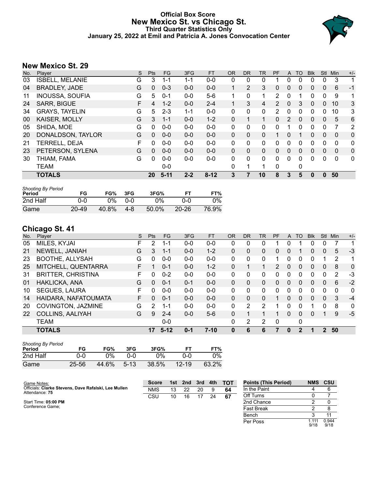# **Official Box Score New Mexico St. vs Chicago St. Third Quarter Statistics Only January 25, 2022 at Emil and Patricia A. Jones Convocation Center**



# **New Mexico St. 29**

| No. | Player                 | S | <b>Pts</b> | <b>FG</b> | 3FG     | <b>FT</b> | <b>OR</b> | D <sub>R</sub> | TR | PF            | A            | TO           | <b>Blk</b> | Stl          | Min          | $+/-$        |
|-----|------------------------|---|------------|-----------|---------|-----------|-----------|----------------|----|---------------|--------------|--------------|------------|--------------|--------------|--------------|
| 03  | <b>ISBELL, MELANIE</b> | G | 3          | 1-1       | $1 - 1$ | $0-0$     | 0         | 0              | 0  |               | 0            | 0            | 0          | 0            | 3            | 1            |
| 04  | <b>BRADLEY, JADE</b>   | G | 0          | $0 - 3$   | $0 - 0$ | $0 - 0$   | 1         | $\overline{2}$ | 3  | 0             | 0            | 0            | 0          | 0            | 6            | $-1$         |
| 11  | <b>INOUSSA, SOUFIA</b> | G | 5          | $0 - 1$   | $0 - 0$ | $5-6$     |           | 0              | 1  | 2             | 0            |              | 0          | 0            | 9            | 1            |
| 24  | SARR, BIGUE            | F | 4          | $1 - 2$   | $0 - 0$ | $2 - 4$   | 1         | 3              | 4  | $\mathcal{P}$ | $\mathbf{0}$ | 3            | $\Omega$   | $\Omega$     | 10           | 3            |
| 34  | <b>GRAYS, TAYELIN</b>  | G | 5          | $2 - 3$   | $1 - 1$ | $0 - 0$   | 0         | $\Omega$       | 0  | 2             | 0            | 0            | $\Omega$   | $\Omega$     | 10           | 3            |
| 00  | KAISER, MOLLY          | G | 3          | $1 - 1$   | $0 - 0$ | $1 - 2$   | 0         |                |    | 0             | 2            | $\mathbf{0}$ | 0          | $\mathbf{0}$ | 5            | 6            |
| 05  | SHIDA, MOE             | G | 0          | $0 - 0$   | $0 - 0$ | $0 - 0$   | 0         | $\Omega$       | 0  | 0             |              | 0            | 0          | 0            | 7            | 2            |
| 20  | DONALDSON, TAYLOR      | G | 0          | $0 - 0$   | $0 - 0$ | $0 - 0$   | $\Omega$  | $\Omega$       | 0  | 1             | $\Omega$     |              | 0          | $\Omega$     | $\Omega$     | $\mathbf 0$  |
| 21  | TERRELL, DEJA          | F | 0          | $0 - 0$   | $0 - 0$ | $0 - 0$   | 0         | 0              | 0  | 0             | 0            | 0            | 0          | 0            | $\Omega$     | $\mathbf{0}$ |
| 23  | PETERSON, SYLENA       | G | 0          | $0 - 0$   | $0 - 0$ | $0 - 0$   | $\Omega$  | $\mathbf{0}$   | 0  | 0             | 0            | 0            | 0          | $\Omega$     | $\mathbf{0}$ | $\Omega$     |
| 30  | THIAM, FAMA            | G | 0          | $0 - 0$   | $0 - 0$ | $0 - 0$   | $\Omega$  | $\Omega$       | 0  | 0             | $\Omega$     | 0            | $\Omega$   | $\Omega$     | $\Omega$     | $\mathbf{0}$ |
|     | <b>TEAM</b>            |   |            | $0 - 0$   |         |           | 0         |                | 1  | 0             |              | 0            |            |              |              |              |
|     | <b>TOTALS</b>          |   | 20         | $5 - 11$  | $2 - 2$ | $8 - 12$  | 3         | 7              | 10 | 8             | 3            | 5            | 0          | $\mathbf{0}$ | 50           |              |

| <b>Shooting By Period</b><br>Period | FG        | FG%   | 3FG | 3FG%  | FТ        | FT%   |
|-------------------------------------|-----------|-------|-----|-------|-----------|-------|
| 2nd Half                            | ი-ი       | ገ%    | 0-0 | በ%    | റ-റ       | 0%    |
| Game                                | $20 - 49$ | 40.8% | 4-8 | 50.0% | $20 - 26$ | 76.9% |

# **Chicago St. 41**

|     | .                         |    |          |          |         |           |           |    |              |           |                |          |             |          |          |              |
|-----|---------------------------|----|----------|----------|---------|-----------|-----------|----|--------------|-----------|----------------|----------|-------------|----------|----------|--------------|
| No. | Player                    | S  | Pts      | FG.      | 3FG     | <b>FT</b> | <b>OR</b> | DR | <b>TR</b>    | <b>PF</b> | $\mathsf{A}$   | TO       | <b>B</b> lk | Stl      | Min      | $+/-$        |
| 05  | MILES, KYJAI              | F. | 2        | $1 - 1$  | $0 - 0$ | $0-0$     | 0         | 0  | 0            |           | 0              |          | 0           | 0        |          | 1            |
| 21  | NEWELL, JANIAH            | G  | 3        | $1 - 1$  | $0 - 0$ | $1 - 2$   | 0         | 0  | 0            | 0         | $\mathbf{0}$   |          | 0           | $\Omega$ | 5        | $-3$         |
| 23  | <b>BOOTHE, ALLYSAH</b>    | G  | $\Omega$ | $0 - 0$  | $0 - 0$ | $0-0$     | 0         | 0  | 0            |           | 0              | 0        | 0           |          | 2        | 1            |
| 25  | MITCHELL, QUENTARRA       | F  |          | $0 - 1$  | $0 - 0$ | $1 - 2$   | $\Omega$  |    | 1            | 2         | $\overline{0}$ | $\Omega$ | 0           | 0        | 8        | $\mathbf{0}$ |
| 31  | <b>BRITTER, CHRISTINA</b> | F. | 0        | $0 - 2$  | $0 - 0$ | $0 - 0$   | 0         | 0  | 0            | 0         | 0              | 0        | 0           | 0        | 2        | $-3$         |
| 01  | HAKLICKA, ANA             | G  | 0        | $0 - 1$  | $0 - 1$ | $0 - 0$   | $\Omega$  | 0  | 0            | 0         | $\mathbf{0}$   | $\Omega$ | 0           | 0        | 6        | $-2$         |
| 10  | <b>SEGUES, LAURA</b>      | F  | 0        | $0 - 0$  | $0 - 0$ | $0-0$     | 0         | 0  | $\mathbf{0}$ | 0         | 0              | $\Omega$ | 0           | $\Omega$ | $\Omega$ | 0            |
| 14  | HAIDARA, NAFATOUMATA      | F. | 0        | $0 - 1$  | $0 - 0$ | $0 - 0$   | $\Omega$  | 0  | 0            | 1         | 0              | $\Omega$ | $\Omega$    | $\Omega$ | 3        | $-4$         |
| 20  | COVINGTON, JAZMINE        | G  | 2        | 1-1      | $0 - 0$ | $0 - 0$   | 0         | 2  | 2            |           | 0              | 0        |             | 0        | 8        | 0            |
| 22  | COLLINS, AALIYAH          | G  | 9        | $2 - 4$  | $0 - 0$ | $5-6$     | $\Omega$  |    |              |           | 0              | $\Omega$ | 0           |          | 9        | $-5$         |
|     | <b>TEAM</b>               |    |          | $0 - 0$  |         |           | 0         | 2  | 2            | 0         |                | 0        |             |          |          |              |
|     | <b>TOTALS</b>             |    | 17       | $5 - 12$ | $0 - 1$ | $7 - 10$  | 0         | 6  | 6            |           | 0              |          | 1           | 2        | 50       |              |

| <b>Shooting By Period</b><br>Period | FG    | FG%   | 3FG      | 3FG%  |           | FT%   |
|-------------------------------------|-------|-------|----------|-------|-----------|-------|
| 2nd Half                            | 0-0   | $0\%$ | റ-റ      | 0%    | 0-0       | 0%    |
| Game                                | 25-56 | 44.6% | $5 - 13$ | 38.5% | $12 - 19$ | 63.2% |

| Game Notes:                                                            | <b>Score</b> |    | 1st 2nd | 3rd | $-4th$ | <b>ТОТ</b> | <b>Points (This Period)</b> | <b>NMS</b>   | <b>CSU</b>    |
|------------------------------------------------------------------------|--------------|----|---------|-----|--------|------------|-----------------------------|--------------|---------------|
| Officials: Clarke Stevens, Dave Rafalski, Lee Mullen<br>Attendance: 75 | <b>NMS</b>   | 13 | 22      | 20  |        | 64         | In the Paint                |              |               |
|                                                                        | CSU          | 10 | 16      | 17  | 24     | 67         | Off Turns                   |              |               |
| Start Time: 05:00 PM                                                   |              |    |         |     |        |            | 2nd Chance                  |              |               |
| Conference Game;                                                       |              |    |         |     |        |            | <b>Fast Break</b>           |              |               |
|                                                                        |              |    |         |     |        |            | Bench                       |              |               |
|                                                                        |              |    |         |     |        |            | Per Poss                    | .111<br>9/18 | 0.944<br>9/18 |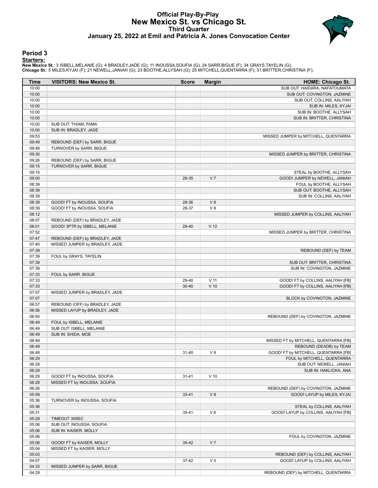### **Official Play-By-Play New Mexico St. vs Chicago St. Third Quarter January 25, 2022 at Emil and Patricia A. Jones Convocation Center**



### **Period 3**

<mark>Starters:</mark><br>New Mexico St.: 3 ISBELL,MELANIE (G); 4 BRADLEY,JADE (G); 11 INOUSSA,SOUFIA (G); 24 SARR,BIGUE (F); 34 GRAYS,TAYELIN (G);<br>Chicago St.: 5 MILES,KYJAI (F); 21 NEWELL,JANIAH (G); 23 BOOTHE,ALLYSAH (G); 25 MITCHELL

| Time           | <b>VISITORS: New Mexico St.</b> | <b>Score</b> | <b>Margin</b>   | <b>HOME: Chicago St.</b>                                             |
|----------------|---------------------------------|--------------|-----------------|----------------------------------------------------------------------|
| 10:00          |                                 |              |                 | SUB OUT: HAIDARA, NAFATOUMATA                                        |
| 10:00          |                                 |              |                 | SUB OUT: COVINGTON, JAZMINE                                          |
| 10:00          |                                 |              |                 | SUB OUT: COLLINS, AALIYAH                                            |
| 10:00          |                                 |              |                 | SUB IN: MILES, KYJAI                                                 |
| 10:00          |                                 |              |                 | SUB IN: BOOTHE, ALLYSAH                                              |
| 10:00          |                                 |              |                 | SUB IN: BRITTER, CHRISTINA                                           |
| 10:00          | SUB OUT: THIAM, FAMA            |              |                 |                                                                      |
| 10:00          | SUB IN: BRADLEY, JADE           |              |                 |                                                                      |
| 09:53          |                                 |              |                 | MISSED JUMPER by MITCHELL, QUENTARRA                                 |
| 09:49          | REBOUND (DEF) by SARR, BIGUE    |              |                 |                                                                      |
| 09:48          | TURNOVER by SARR, BIGUE         |              |                 |                                                                      |
| 09:30          |                                 |              |                 | MISSED JUMPER by BRITTER, CHRISTINA                                  |
| 09:26          | REBOUND (DEF) by SARR, BIGUE    |              |                 |                                                                      |
| 09:15<br>09:15 | TURNOVER by SARR, BIGUE         |              |                 | STEAL by BOOTHE, ALLYSAH                                             |
| 09:00          |                                 | 28-35        | V <sub>7</sub>  | GOOD! JUMPER by NEWELL, JANIAH                                       |
| 08:39          |                                 |              |                 | FOUL by BOOTHE, ALLYSAH                                              |
| 08:39          |                                 |              |                 | SUB OUT: BOOTHE, ALLYSAH                                             |
| 08:39          |                                 |              |                 | SUB IN: COLLINS, AALIYAH                                             |
| 08:39          | GOOD! FT by INOUSSA, SOUFIA     | 28-36        | V <sub>8</sub>  |                                                                      |
| 08:39          | GOOD! FT by INOUSSA, SOUFIA     | 28-37        | V <sub>9</sub>  |                                                                      |
| 08:12          |                                 |              |                 | MISSED JUMPER by COLLINS, AALIYAH                                    |
| 08:07          | REBOUND (DEF) by BRADLEY, JADE  |              |                 |                                                                      |
| 08:01          | GOOD! 3PTR by ISBELL, MELANIE   | 28-40        | V <sub>12</sub> |                                                                      |
| 07:52          |                                 |              |                 | MISSED JUMPER by BRITTER, CHRISTINA                                  |
| 07:47          | REBOUND (DEF) by BRADLEY, JADE  |              |                 |                                                                      |
| 07:40          | MISSED JUMPER by BRADLEY, JADE  |              |                 |                                                                      |
| 07:39          |                                 |              |                 | REBOUND (DEF) by TEAM                                                |
| 07:39          | FOUL by GRAYS, TAYELIN          |              |                 |                                                                      |
| 07:39          |                                 |              |                 | SUB OUT: BRITTER, CHRISTINA                                          |
| 07:39          |                                 |              |                 | SUB IN: COVINGTON, JAZMINE                                           |
| 07:33          | FOUL by SARR, BIGUE             |              |                 |                                                                      |
| 07:33          |                                 | 29-40        | V <sub>11</sub> | GOOD! FT by COLLINS, AALIYAH [FB]                                    |
| 07:33          |                                 | $30 - 40$    | $V$ 10          | GOOD! FT by COLLINS, AALIYAH [FB]                                    |
| 07:07          | MISSED JUMPER by BRADLEY, JADE  |              |                 |                                                                      |
| 07:07          |                                 |              |                 | BLOCK by COVINGTON, JAZMINE                                          |
| 06:57          | REBOUND (OFF) by BRADLEY, JADE  |              |                 |                                                                      |
| 06:56          | MISSED LAYUP by BRADLEY, JADE   |              |                 |                                                                      |
| 06:50          |                                 |              |                 | REBOUND (DEF) by COVINGTON, JAZMINE                                  |
| 06:49          | FOUL by ISBELL, MELANIE         |              |                 |                                                                      |
| 06:49          | SUB OUT: ISBELL, MELANIE        |              |                 |                                                                      |
| 06:49          | SUB IN: SHIDA, MOE              |              |                 |                                                                      |
| 06:49          |                                 |              |                 | MISSED FT by MITCHELL, QUENTARRA [FB]                                |
| 06:49          |                                 |              |                 | REBOUND (DEADB) by TEAM                                              |
| 06:49          |                                 | $31 - 40$    | V <sub>9</sub>  | GOOD! FT by MITCHELL, QUENTARRA [FB]                                 |
| 06:29          |                                 |              |                 | FOUL by MITCHELL, QUENTARRA                                          |
| 06:29          |                                 |              |                 | SUB OUT: NEWELL, JANIAH                                              |
| 06:29          |                                 |              |                 | SUB IN: HAKLICKA, ANA                                                |
| 06:29          | GOOD! FT by INOUSSA, SOUFIA     | $31 - 41$    | $V$ 10          |                                                                      |
| 06:28          | MISSED FT by INOUSSA, SOUFIA    |              |                 |                                                                      |
| 06:26          |                                 |              |                 | REBOUND (DEF) by COVINGTON, JAZMINE                                  |
| 05:59          |                                 | $33 - 41$    | V 8             | GOOD! LAYUP by MILES, KYJAI                                          |
| 05:36          | TURNOVER by INOUSSA, SOUFIA     |              |                 |                                                                      |
| 05:36          |                                 |              |                 | STEAL by COLLINS, AALIYAH                                            |
| 05:31          |                                 | 35-41        | V6              | GOOD! LAYUP by COLLINS, AALIYAH [FB]                                 |
| 05:29          | TIMEOUT 30SEC                   |              |                 |                                                                      |
| 05:06          | SUB OUT: INOUSSA, SOUFIA        |              |                 |                                                                      |
| 05:06          | SUB IN: KAISER, MOLLY           |              |                 |                                                                      |
| 05:06          |                                 |              |                 | FOUL by COVINGTON, JAZMINE                                           |
| 05:06          | GOOD! FT by KAISER, MOLLY       | $35 - 42$    | V <sub>7</sub>  |                                                                      |
| 05:04          | MISSED FT by KAISER, MOLLY      |              |                 |                                                                      |
| 05:03<br>04:57 |                                 | 37-42        | V <sub>5</sub>  | REBOUND (DEF) by COLLINS, AALIYAH<br>GOOD! LAYUP by COLLINS, AALIYAH |
| 04:33          | MISSED JUMPER by SARR, BIGUE    |              |                 |                                                                      |
| 04:29          |                                 |              |                 | REBOUND (DEF) by MITCHELL, QUENTARRA                                 |
|                |                                 |              |                 |                                                                      |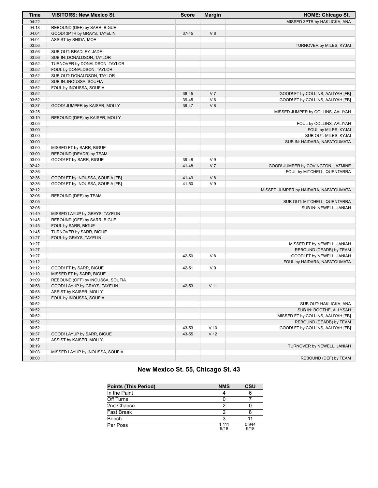| <b>Time</b> | <b>VISITORS: New Mexico St.</b>  | <b>Score</b> | <b>Margin</b>   | <b>HOME: Chicago St.</b>              |
|-------------|----------------------------------|--------------|-----------------|---------------------------------------|
| 04:22       |                                  |              |                 | MISSED 3PTR by HAKLICKA, ANA          |
| 04:18       | REBOUND (DEF) by SARR, BIGUE     |              |                 |                                       |
| 04:04       | GOOD! 3PTR by GRAYS, TAYELIN     | $37 - 45$    | V8              |                                       |
| 04:04       | ASSIST by SHIDA, MOE             |              |                 |                                       |
| 03:56       |                                  |              |                 | TURNOVER by MILES, KYJAI              |
| 03:56       | SUB OUT: BRADLEY, JADE           |              |                 |                                       |
| 03:56       | SUB IN: DONALDSON, TAYLOR        |              |                 |                                       |
| 03:52       | TURNOVER by DONALDSON, TAYLOR    |              |                 |                                       |
| 03:52       | FOUL by DONALDSON, TAYLOR        |              |                 |                                       |
| 03:52       | SUB OUT: DONALDSON, TAYLOR       |              |                 |                                       |
| 03:52       | SUB IN: INOUSSA, SOUFIA          |              |                 |                                       |
| 03:52       | FOUL by INOUSSA, SOUFIA          |              |                 |                                       |
| 03:52       |                                  | 38-45        | V <sub>7</sub>  | GOOD! FT by COLLINS, AALIYAH [FB]     |
| 03:52       |                                  | 39-45        | $V_6$           | GOOD! FT by COLLINS, AALIYAH [FB]     |
| 03:37       |                                  | 39-47        | V8              |                                       |
|             | GOOD! JUMPER by KAISER, MOLLY    |              |                 |                                       |
| 03:25       |                                  |              |                 | MISSED JUMPER by COLLINS, AALIYAH     |
| 03:19       | REBOUND (DEF) by KAISER, MOLLY   |              |                 |                                       |
| 03:05       |                                  |              |                 | FOUL by COLLINS, AALIYAH              |
| 03:00       |                                  |              |                 | FOUL by MILES, KYJAI                  |
| 03:00       |                                  |              |                 | SUB OUT: MILES, KYJAI                 |
| 03:00       |                                  |              |                 | SUB IN: HAIDARA, NAFATOUMATA          |
| 03:00       | MISSED FT by SARR, BIGUE         |              |                 |                                       |
| 03:00       | REBOUND (DEADB) by TEAM          |              |                 |                                       |
| 03:00       | GOOD! FT by SARR, BIGUE          | 39-48        | V <sub>9</sub>  |                                       |
| 02:42       |                                  | 41-48        | V <sub>7</sub>  | GOOD! JUMPER by COVINGTON, JAZMINE    |
| 02:36       |                                  |              |                 | FOUL by MITCHELL, QUENTARRA           |
| 02:36       | GOOD! FT by INOUSSA, SOUFIA [FB] | 41-49        | V8              |                                       |
| 02:36       | GOOD! FT by INOUSSA, SOUFIA [FB] | 41-50        | V <sub>9</sub>  |                                       |
| 02:12       |                                  |              |                 | MISSED JUMPER by HAIDARA, NAFATOUMATA |
| 02:06       | REBOUND (DEF) by TEAM            |              |                 |                                       |
| 02:05       |                                  |              |                 | SUB OUT: MITCHELL, QUENTARRA          |
| 02:05       |                                  |              |                 | SUB IN: NEWELL, JANIAH                |
| 01:49       | MISSED LAYUP by GRAYS, TAYELIN   |              |                 |                                       |
| 01:45       | REBOUND (OFF) by SARR, BIGUE     |              |                 |                                       |
| 01:45       | FOUL by SARR, BIGUE              |              |                 |                                       |
| 01:45       | TURNOVER by SARR, BIGUE          |              |                 |                                       |
| 01:27       | FOUL by GRAYS, TAYELIN           |              |                 |                                       |
| 01:27       |                                  |              |                 | MISSED FT by NEWELL, JANIAH           |
| 01:27       |                                  |              |                 | REBOUND (DEADB) by TEAM               |
| 01:27       |                                  | 42-50        | V8              | GOOD! FT by NEWELL, JANIAH            |
| 01:12       |                                  |              |                 | FOUL by HAIDARA, NAFATOUMATA          |
| 01:12       | GOOD! FT by SARR, BIGUE          | 42-51        | V <sub>9</sub>  |                                       |
| 01:10       | MISSED FT by SARR, BIGUE         |              |                 |                                       |
| 01:09       | REBOUND (OFF) by INOUSSA, SOUFIA |              |                 |                                       |
| 00:58       | GOOD! LAYUP by GRAYS, TAYELIN    | 42-53        | V <sub>11</sub> |                                       |
| 00:58       | ASSIST by KAISER, MOLLY          |              |                 |                                       |
| 00:52       | FOUL by INOUSSA, SOUFIA          |              |                 |                                       |
|             |                                  |              |                 |                                       |
| 00:52       |                                  |              |                 | SUB OUT: HAKLICKA, ANA                |
| 00:52       |                                  |              |                 | SUB IN: BOOTHE, ALLYSAH               |
| 00:52       |                                  |              |                 | MISSED FT by COLLINS, AALIYAH [FB]    |
| 00:52       |                                  |              |                 | REBOUND (DEADB) by TEAM               |
| 00:52       |                                  | 43-53        | $V$ 10          | GOOD! FT by COLLINS, AALIYAH [FB]     |
| 00:37       | GOOD! LAYUP by SARR, BIGUE       | 43-55        | V <sub>12</sub> |                                       |
| 00:37       | ASSIST by KAISER, MOLLY          |              |                 |                                       |
| 00:19       |                                  |              |                 | TURNOVER by NEWELL, JANIAH            |
| 00:03       | MISSED LAYUP by INOUSSA, SOUFIA  |              |                 |                                       |
| 00:00       |                                  |              |                 | REBOUND (DEF) by TEAM                 |

# **New Mexico St. 55, Chicago St. 43**

| <b>Points (This Period)</b> | <b>NMS</b>      | CSU           |
|-----------------------------|-----------------|---------------|
| In the Paint                |                 |               |
| Off Turns                   |                 |               |
| 2nd Chance                  |                 |               |
| <b>Fast Break</b>           |                 |               |
| Bench                       |                 |               |
| Per Poss                    | 1 1 1 1<br>9/18 | 0.944<br>9/18 |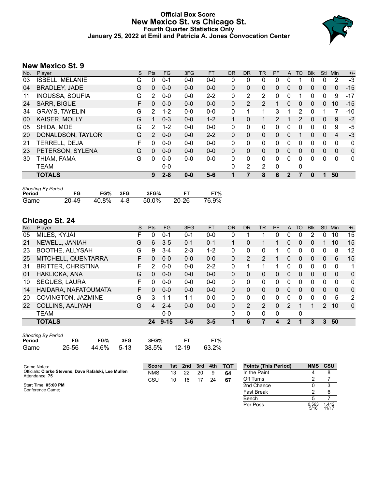# **Official Box Score New Mexico St. vs Chicago St. Fourth Quarter Statistics Only January 25, 2022 at Emil and Patricia A. Jones Convocation Center**



# **New Mexico St. 9**

| No. | Plaver                 | S | <b>Pts</b>   | <b>FG</b> | 3FG     | <b>FT</b> | <b>OR</b>    | <b>DR</b>    | TR          | PF       | $\mathsf{A}$ | TO | <b>Blk</b> | <b>Stl</b>   | <b>Min</b>     | $+/-$        |
|-----|------------------------|---|--------------|-----------|---------|-----------|--------------|--------------|-------------|----------|--------------|----|------------|--------------|----------------|--------------|
| 03  | <b>ISBELL, MELANIE</b> | G | 0            | $0 - 1$   | $0 - 0$ | $0 - 0$   | 0            | 0            | 0           | 0        | 0            |    | 0          | 0            | 2              | $-3$         |
| 04  | <b>BRADLEY, JADE</b>   | G | $\mathbf{0}$ | $0 - 0$   | $0 - 0$ | $0 - 0$   | $\mathbf{0}$ | $\mathbf{0}$ | 0           | 0        | $\Omega$     | 0  | 0          | $\mathbf{0}$ | $\Omega$       | $-15$        |
| 11  | <b>INOUSSA, SOUFIA</b> | G | 2            | $0 - 0$   | $0 - 0$ | $2 - 2$   | $\mathbf{0}$ | 2            | 2           | 0        | 0            |    | 0          | 0            | 9              | $-17$        |
| 24  | <b>SARR, BIGUE</b>     | F | 0            | $0 - 0$   | $0 - 0$ | $0 - 0$   | $\Omega$     | 2            | 2           |          | $\Omega$     | 0  | 0          | $\mathbf{0}$ | 10             | $-15$        |
| 34  | <b>GRAYS, TAYELIN</b>  | G | 2            | $1 - 2$   | $0 - 0$ | $0 - 0$   | $\Omega$     |              | 1           | 3        |              | 2  | 0          |              | 7              | $-10$        |
| 00  | KAISER, MOLLY          | G |              | $0 - 3$   | $0 - 0$ | $1 - 2$   |              | 0            | $\mathbf 1$ | 2        |              | 2  | 0          | $\mathbf{0}$ | 9              | $-2$         |
| 05  | SHIDA, MOE             | G | 2            | $1 - 2$   | $0 - 0$ | $0 - 0$   | $\Omega$     | $\Omega$     | 0           | 0        | 0            | 0  | 0          | 0            | 9              | $-5$         |
| 20  | DONALDSON, TAYLOR      | G | 2            | $0 - 0$   | $0 - 0$ | $2 - 2$   | $\Omega$     | $\Omega$     | $\Omega$    | $\Omega$ | $\Omega$     |    | 0          | $\Omega$     | $\overline{4}$ | $-3$         |
| 21  | TERRELL, DEJA          | F | 0            | $0 - 0$   | $0 - 0$ | $0 - 0$   | $\mathbf{0}$ | $\mathbf{0}$ | 0           | 0        | $\Omega$     | 0  | 0          | $\Omega$     | 0              | $\mathbf{0}$ |
| 23  | PETERSON, SYLENA       | G | 0            | $0 - 0$   | $0 - 0$ | $0 - 0$   | $\Omega$     | $\mathbf{0}$ | 0           | 0        | $\Omega$     | 0  | 0          | $\Omega$     | $\mathbf{0}$   | 0            |
| 30  | THIAM, FAMA            | G | 0            | $0 - 0$   | $0 - 0$ | $0 - 0$   | $\mathbf{0}$ | $\mathbf{0}$ | 0           | 0        | $\Omega$     | 0  | 0          | 0            | 0              | 0            |
|     | <b>TEAM</b>            |   |              | $0 - 0$   |         |           | $\Omega$     | 2            | 2           | 0        |              | 0  |            |              |                |              |
|     | <b>TOTALS</b>          |   | 9            | $2 - 8$   | $0 - 0$ | $5 - 6$   |              | 7            | 8           | 6        | 2            |    | 0          |              | 50             |              |

| <b>Shooting By Period</b> |           |       |     |       |       |       |
|---------------------------|-----------|-------|-----|-------|-------|-------|
| Period                    | FG        | FG%   | 3FG | 3FG%  |       | FT%   |
| Game                      | $20 - 49$ | 40.8% | 4-8 | 50.0% | 20-26 | 76.9% |

# **Chicago St. 24**

| No. | Plaver                    | S  | <b>Pts</b> | FG.      | 3FG     | <b>FT</b> | <b>OR</b> | D <sub>R</sub> | <b>TR</b> | PF       | A             | TO           | <b>BIK</b> | Stl           | Min      | $+/-$        |
|-----|---------------------------|----|------------|----------|---------|-----------|-----------|----------------|-----------|----------|---------------|--------------|------------|---------------|----------|--------------|
| 05  | MILES, KYJAI              | F  | 0          | $0 - 1$  | $0 - 1$ | $0 - 0$   | 0         |                |           | 0        | 0             | 0            | 2          | 0             | 10       | 15           |
| 21  | NEWELL, JANIAH            | G  | 6          | $3 - 5$  | $0 - 1$ | $0 - 1$   |           | 0              |           |          | $\mathbf{0}$  | $\mathbf{0}$ | 0          |               | 10       | 15           |
| 23  | BOOTHE, ALLYSAH           | G  | 9          | $3 - 4$  | $2 - 3$ | $1 - 2$   | 0         | 0              | 0         |          | 0             | 0            | 0          | 0             | 8        | 12           |
| 25  | MITCHELL, QUENTARRA       | F. | 0          | $0 - 0$  | $0 - 0$ | $0 - 0$   | $\Omega$  | 2              | 2         |          | 0             | $\Omega$     | 0          | 0             | 6        | 15           |
| 31  | <b>BRITTER, CHRISTINA</b> | F  | 2          | $0 - 0$  | $0 - 0$ | $2 - 2$   | 0         |                | 1         |          | 0             | 0            | 0          | 0             | 0        | 1            |
| 01  | HAKLICKA, ANA             | G  | 0          | $0 - 0$  | $0 - 0$ | $0 - 0$   | $\Omega$  | 0              | 0         | 0        | $\Omega$      | $\Omega$     | $\Omega$   | $\Omega$      | $\Omega$ | $\mathbf{0}$ |
| 10  | <b>SEGUES, LAURA</b>      | F. | 0          | $0 - 0$  | $0 - 0$ | $0 - 0$   | $\Omega$  | $\Omega$       | 0         | 0        | $\Omega$      | $\Omega$     | 0          | $\Omega$      | $\Omega$ | $\mathbf{0}$ |
| 14  | HAIDARA, NAFATOUMATA      | F. | 0          | $0 - 0$  | $0 - 0$ | $0 - 0$   | $\Omega$  | $\Omega$       | 0         | 0        | $\mathbf{0}$  | $\Omega$     | 0          | $\Omega$      | $\Omega$ | $\mathbf{0}$ |
| 20  | COVINGTON, JAZMINE        | G  | 3          | 1-1      | $1 - 1$ | $0 - 0$   | 0         | 0              | 0         | 0        | 0             | 0            | 0          | 0             | 5        | 2            |
| 22  | <b>COLLINS, AALIYAH</b>   | G  | 4          | $2 - 4$  | $0 - 0$ | $0 - 0$   | $\Omega$  | 2              | 2         | 0        | $\mathcal{P}$ |              |            | $\mathcal{P}$ | 10       | $\mathbf{0}$ |
|     | TEAM                      |    |            | $0 - 0$  |         |           | $\Omega$  | $\Omega$       | 0         | $\Omega$ |               | 0            |            |               |          |              |
|     | <b>TOTALS</b>             |    | 24         | $9 - 15$ | $3 - 6$ | $3 - 5$   |           | 6              |           | 4        | 2             |              | 3          | 3             | 50       |              |

| <b>Shooting By Period</b> |       |            |     |       |           |       |
|---------------------------|-------|------------|-----|-------|-----------|-------|
| Period                    | FG.   | FG%        | 3FG | 3FG%  | <b>FT</b> | FT%   |
| Game                      | 25-56 | 44.6% 5-13 |     | 38.5% | 12-19     | 63.2% |

| Game Notes:                                                            | <b>Score</b> |    |    |    |    | 1st 2nd 3rd 4th TOT | <b>Points (This Period)</b> | <b>NMS</b>    | <b>CSU</b>     |
|------------------------------------------------------------------------|--------------|----|----|----|----|---------------------|-----------------------------|---------------|----------------|
| Officials: Clarke Stevens, Dave Rafalski, Lee Mullen<br>Attendance: 75 | <b>NMS</b>   | 13 | 22 | 20 |    | 64                  | In the Paint                |               |                |
|                                                                        | CSU          | 10 | 16 | 17 | 24 | 67                  | Off Turns                   |               |                |
| Start Time: 05:00 PM                                                   |              |    |    |    |    |                     | 2nd Chance                  |               |                |
| Conference Game:                                                       |              |    |    |    |    |                     | <b>Fast Break</b>           |               |                |
|                                                                        |              |    |    |    |    |                     | Bench                       |               |                |
|                                                                        |              |    |    |    |    |                     | Per Poss                    | 0.563<br>5/16 | 1.412<br>11/17 |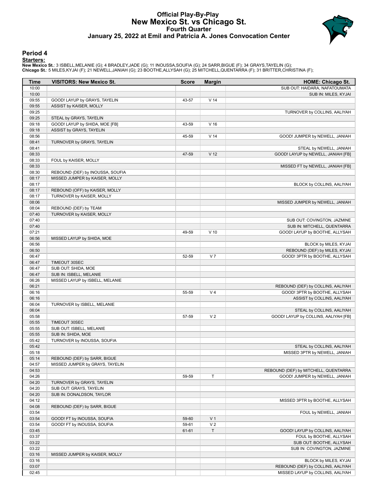# **Official Play-By-Play New Mexico St. vs Chicago St. Fourth Quarter January 25, 2022 at Emil and Patricia A. Jones Convocation Center**



### **Period 4**

<mark>Starters:</mark><br>New Mexico St.: 3 ISBELL,MELANIE (G); 4 BRADLEY,JADE (G); 11 INOUSSA,SOUFIA (G); 24 SARR,BIGUE (F); 34 GRAYS,TAYELIN (G);<br>Chicago St.: 5 MILES,KYJAI (F); 21 NEWELL,JANIAH (G); 23 BOOTHE,ALLYSAH (G); 25 MITCHELL

| Time           | <b>VISITORS: New Mexico St.</b>  | <b>Score</b> | <b>Margin</b>   | <b>HOME: Chicago St.</b>             |
|----------------|----------------------------------|--------------|-----------------|--------------------------------------|
| 10:00          |                                  |              |                 | SUB OUT: HAIDARA, NAFATOUMATA        |
| 10:00          |                                  |              |                 | SUB IN: MILES, KYJAI                 |
| 09:55          | GOOD! LAYUP by GRAYS, TAYELIN    | 43-57        | V <sub>14</sub> |                                      |
| 09:55          | ASSIST by KAISER, MOLLY          |              |                 |                                      |
| 09:25          |                                  |              |                 | TURNOVER by COLLINS, AALIYAH         |
| 09:25          | STEAL by GRAYS, TAYELIN          |              |                 |                                      |
| 09:18          | GOOD! LAYUP by SHIDA, MOE [FB]   | 43-59        | V <sub>16</sub> |                                      |
| 09:18          | ASSIST by GRAYS, TAYELIN         |              |                 |                                      |
| 08:56          |                                  | 45-59        | V <sub>14</sub> | GOOD! JUMPER by NEWELL, JANIAH       |
| 08:41          | TURNOVER by GRAYS, TAYELIN       |              |                 |                                      |
| 08:41          |                                  |              |                 | STEAL by NEWELL, JANIAH              |
| 08:33          |                                  | 47-59        | V <sub>12</sub> | GOOD! LAYUP by NEWELL, JANIAH [FB]   |
| 08:33          | FOUL by KAISER, MOLLY            |              |                 |                                      |
| 08:33          |                                  |              |                 | MISSED FT by NEWELL, JANIAH [FB]     |
| 08:30          | REBOUND (DEF) by INOUSSA, SOUFIA |              |                 |                                      |
| 08:17          | MISSED JUMPER by KAISER, MOLLY   |              |                 |                                      |
| 08:17          |                                  |              |                 | BLOCK by COLLINS, AALIYAH            |
| 08:17          | REBOUND (OFF) by KAISER, MOLLY   |              |                 |                                      |
| 08:17          | TURNOVER by KAISER, MOLLY        |              |                 |                                      |
| 08:06<br>08:04 | REBOUND (DEF) by TEAM            |              |                 | MISSED JUMPER by NEWELL, JANIAH      |
|                |                                  |              |                 |                                      |
| 07:40<br>07:40 | TURNOVER by KAISER, MOLLY        |              |                 | SUB OUT: COVINGTON, JAZMINE          |
| 07:40          |                                  |              |                 | SUB IN: MITCHELL, QUENTARRA          |
| 07:21          |                                  | 49-59        | $V$ 10          | GOOD! LAYUP by BOOTHE, ALLYSAH       |
| 06:56          | MISSED LAYUP by SHIDA, MOE       |              |                 |                                      |
| 06:56          |                                  |              |                 | BLOCK by MILES, KYJAI                |
| 06:50          |                                  |              |                 | REBOUND (DEF) by MILES, KYJAI        |
| 06:47          |                                  | 52-59        | V <sub>7</sub>  | GOOD! 3PTR by BOOTHE, ALLYSAH        |
| 06:47          | TIMEOUT 30SEC                    |              |                 |                                      |
| 06:47          | SUB OUT: SHIDA, MOE              |              |                 |                                      |
| 06:47          | SUB IN: ISBELL, MELANIE          |              |                 |                                      |
| 06:26          | MISSED LAYUP by ISBELL, MELANIE  |              |                 |                                      |
| 06:21          |                                  |              |                 | REBOUND (DEF) by COLLINS, AALIYAH    |
| 06:16          |                                  | 55-59        | V <sub>4</sub>  | GOOD! 3PTR by BOOTHE, ALLYSAH        |
| 06:16          |                                  |              |                 | ASSIST by COLLINS, AALIYAH           |
| 06:04          | TURNOVER by ISBELL, MELANIE      |              |                 |                                      |
| 06:04          |                                  |              |                 | STEAL by COLLINS, AALIYAH            |
| 05:58          |                                  | 57-59        | V <sub>2</sub>  | GOOD! LAYUP by COLLINS, AALIYAH [FB] |
| 05:55          | TIMEOUT 30SEC                    |              |                 |                                      |
| 05:55          | SUB OUT: ISBELL, MELANIE         |              |                 |                                      |
| 05:55          | SUB IN: SHIDA, MOE               |              |                 |                                      |
| 05:42          | TURNOVER by INOUSSA, SOUFIA      |              |                 |                                      |
| 05:42          |                                  |              |                 | STEAL by COLLINS, AALIYAH            |
| 05:18          |                                  |              |                 | MISSED 3PTR by NEWELL, JANIAH        |
| 05:14          | REBOUND (DEF) by SARR, BIGUE     |              |                 |                                      |
| 04:57          | MISSED JUMPER by GRAYS, TAYELIN  |              |                 |                                      |
| 04:53          |                                  |              |                 | REBOUND (DEF) by MITCHELL, QUENTARRA |
| 04:26          |                                  | 59-59        | T               | GOOD! JUMPER by NEWELL, JANIAH       |
| 04:20          | TURNOVER by GRAYS, TAYELIN       |              |                 |                                      |
| 04:20          | SUB OUT: GRAYS, TAYELIN          |              |                 |                                      |
| 04:20          | SUB IN: DONALDSON, TAYLOR        |              |                 |                                      |
| 04:12          |                                  |              |                 | MISSED 3PTR by BOOTHE, ALLYSAH       |
| 04:08          | REBOUND (DEF) by SARR, BIGUE     |              |                 |                                      |
| 03:54          |                                  |              |                 | FOUL by NEWELL, JANIAH               |
| 03:54          | GOOD! FT by INOUSSA, SOUFIA      | 59-60        | V <sub>1</sub>  |                                      |
| 03:54          | GOOD! FT by INOUSSA, SOUFIA      | 59-61        | V <sub>2</sub>  |                                      |
| 03:45          |                                  | 61-61        | T               | GOOD! LAYUP by COLLINS, AALIYAH      |
| 03:37          |                                  |              |                 | FOUL by BOOTHE, ALLYSAH              |
| 03:22          |                                  |              |                 | SUB OUT: BOOTHE, ALLYSAH             |
| 03:22          |                                  |              |                 | SUB IN: COVINGTON, JAZMINE           |
| 03:16<br>03:16 | MISSED JUMPER by KAISER, MOLLY   |              |                 | BLOCK by MILES, KYJAI                |
| 03:07          |                                  |              |                 | REBOUND (DEF) by COLLINS, AALIYAH    |
| 02:45          |                                  |              |                 | MISSED LAYUP by COLLINS, AALIYAH     |
|                |                                  |              |                 |                                      |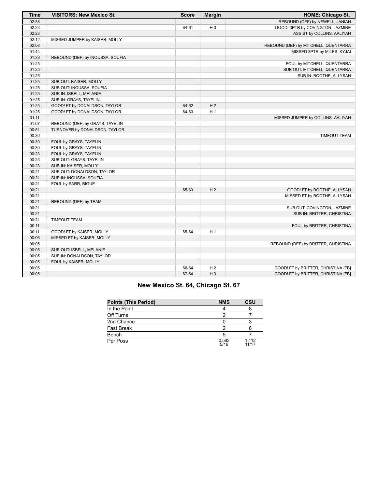| <b>Time</b> | <b>VISITORS: New Mexico St.</b>  | <b>Score</b> | <b>Margin</b>  | <b>HOME: Chicago St.</b>             |
|-------------|----------------------------------|--------------|----------------|--------------------------------------|
| 02:38       |                                  |              |                | REBOUND (OFF) by NEWELL, JANIAH      |
| 02:23       |                                  | 64-61        | H <sub>3</sub> | GOOD! 3PTR by COVINGTON, JAZMINE     |
| 02:23       |                                  |              |                | ASSIST by COLLINS, AALIYAH           |
| 02:12       | MISSED JUMPER by KAISER, MOLLY   |              |                |                                      |
| 02:08       |                                  |              |                | REBOUND (DEF) by MITCHELL, QUENTARRA |
| 01:44       |                                  |              |                | MISSED 3PTR by MILES, KYJAI          |
| 01:39       | REBOUND (DEF) by INOUSSA, SOUFIA |              |                |                                      |
| 01:25       |                                  |              |                | FOUL by MITCHELL, QUENTARRA          |
| 01:25       |                                  |              |                | SUB OUT: MITCHELL, QUENTARRA         |
| 01:25       |                                  |              |                | SUB IN: BOOTHE, ALLYSAH              |
| 01:25       | SUB OUT: KAISER, MOLLY           |              |                |                                      |
| 01:25       | SUB OUT: INOUSSA, SOUFIA         |              |                |                                      |
| 01:25       | SUB IN: ISBELL, MELANIE          |              |                |                                      |
| 01:25       | SUB IN: GRAYS, TAYELIN           |              |                |                                      |
| 01:25       | GOOD! FT by DONALDSON, TAYLOR    | 64-62        | H <sub>2</sub> |                                      |
| 01:25       | GOOD! FT by DONALDSON, TAYLOR    | 64-63        | H <sub>1</sub> |                                      |
| 01:11       |                                  |              |                | MISSED JUMPER by COLLINS, AALIYAH    |
| 01:07       | REBOUND (DEF) by GRAYS, TAYELIN  |              |                |                                      |
| 00:51       | TURNOVER by DONALDSON, TAYLOR    |              |                |                                      |
| 00:30       |                                  |              |                | <b>TIMEOUT TEAM</b>                  |
| 00:30       | FOUL by GRAYS, TAYELIN           |              |                |                                      |
| 00:30       | FOUL by GRAYS, TAYELIN           |              |                |                                      |
| 00:23       | FOUL by GRAYS, TAYELIN           |              |                |                                      |
| 00:23       | SUB OUT: GRAYS, TAYELIN          |              |                |                                      |
| 00:23       | SUB IN: KAISER, MOLLY            |              |                |                                      |
| 00:21       | SUB OUT: DONALDSON, TAYLOR       |              |                |                                      |
| 00:21       | SUB IN: INOUSSA, SOUFIA          |              |                |                                      |
| 00:21       | FOUL by SARR, BIGUE              |              |                |                                      |
| 00:21       |                                  | 65-63        | H <sub>2</sub> | GOOD! FT by BOOTHE, ALLYSAH          |
| 00:21       |                                  |              |                | MISSED FT by BOOTHE, ALLYSAH         |
| 00:21       | REBOUND (DEF) by TEAM            |              |                |                                      |
| 00:21       |                                  |              |                | SUB OUT: COVINGTON, JAZMINE          |
| 00:21       |                                  |              |                | SUB IN: BRITTER, CHRISTINA           |
| 00:21       | <b>TIMEOUT TEAM</b>              |              |                |                                      |
| 00:11       |                                  |              |                | FOUL by BRITTER, CHRISTINA           |
| 00:11       | GOOD! FT by KAISER, MOLLY        | 65-64        | H <sub>1</sub> |                                      |
| 00:06       | MISSED FT by KAISER, MOLLY       |              |                |                                      |
| 00:05       |                                  |              |                | REBOUND (DEF) by BRITTER, CHRISTINA  |
| 00:05       | SUB OUT: ISBELL, MELANIE         |              |                |                                      |
| 00:05       | SUB IN: DONALDSON, TAYLOR        |              |                |                                      |
| 00:05       | FOUL by KAISER, MOLLY            |              |                |                                      |
| 00:05       |                                  | 66-64        | H <sub>2</sub> | GOOD! FT by BRITTER, CHRISTINA [FB]  |
| 00:05       |                                  | 67-64        | $H_3$          | GOOD! FT by BRITTER, CHRISTINA [FB]  |

| New Mexico St. 64, Chicago St. 67 |  |  |  |  |  |  |  |
|-----------------------------------|--|--|--|--|--|--|--|
|-----------------------------------|--|--|--|--|--|--|--|

| <b>Points (This Period)</b> | <b>NMS</b>    | <b>CSU</b>     |
|-----------------------------|---------------|----------------|
| In the Paint                |               |                |
| Off Turns                   |               |                |
| 2nd Chance                  |               |                |
| Fast Break                  |               |                |
| Bench                       |               |                |
| Per Poss                    | 0.563<br>5/16 | 1.412<br>11/17 |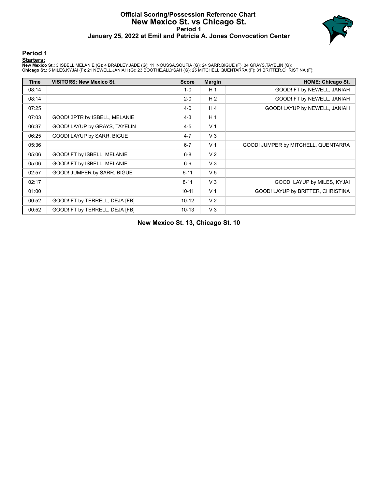# **Official Scoring/Possession Reference Chart New Mexico St. vs Chicago St. Period 1 January 25, 2022 at Emil and Patricia A. Jones Convocation Center**



### **Period 1**

<mark>Starters:</mark><br>New Mexico St.: 3 ISBELL,MELANIE (G); 4 BRADLEY,JADE (G); 11 INOUSSA,SOUFIA (G); 24 SARR,BIGUE (F); 34 GRAYS,TAYELIN (G);<br>Chicago St.: 5 MILES,KYJAI (F); 21 NEWELL,JANIAH (G); 23 BOOTHE,ALLYSAH (G); 25 MITCHELL

| <b>Time</b> | <b>VISITORS: New Mexico St.</b> | <b>Score</b> | <b>Margin</b>  | <b>HOME: Chicago St.</b>            |
|-------------|---------------------------------|--------------|----------------|-------------------------------------|
| 08:14       |                                 | $1-0$        | H <sub>1</sub> | GOOD! FT by NEWELL, JANIAH          |
| 08:14       |                                 | $2 - 0$      | H <sub>2</sub> | GOOD! FT by NEWELL, JANIAH          |
| 07:25       |                                 | $4 - 0$      | H <sub>4</sub> | GOOD! LAYUP by NEWELL, JANIAH       |
| 07:03       | GOOD! 3PTR by ISBELL, MELANIE   | $4 - 3$      | H <sub>1</sub> |                                     |
| 06:37       | GOOD! LAYUP by GRAYS, TAYELIN   | $4 - 5$      | V <sub>1</sub> |                                     |
| 06:25       | GOOD! LAYUP by SARR, BIGUE      | $4 - 7$      | $V_3$          |                                     |
| 05:36       |                                 | $6 - 7$      | V <sub>1</sub> | GOOD! JUMPER by MITCHELL, QUENTARRA |
| 05:06       | GOOD! FT by ISBELL, MELANIE     | $6 - 8$      | V <sub>2</sub> |                                     |
| 05:06       | GOOD! FT by ISBELL, MELANIE     | $6-9$        | $V_3$          |                                     |
| 02:57       | GOOD! JUMPER by SARR, BIGUE     | $6 - 11$     | V <sub>5</sub> |                                     |
| 02:17       |                                 | $8 - 11$     | $V_3$          | GOOD! LAYUP by MILES, KYJAI         |
| 01:00       |                                 | $10 - 11$    | V <sub>1</sub> | GOOD! LAYUP by BRITTER, CHRISTINA   |
| 00:52       | GOOD! FT by TERRELL, DEJA [FB]  | $10-12$      | V <sub>2</sub> |                                     |
| 00:52       | GOOD! FT by TERRELL, DEJA [FB]  | $10 - 13$    | $V_3$          |                                     |

**New Mexico St. 13, Chicago St. 10**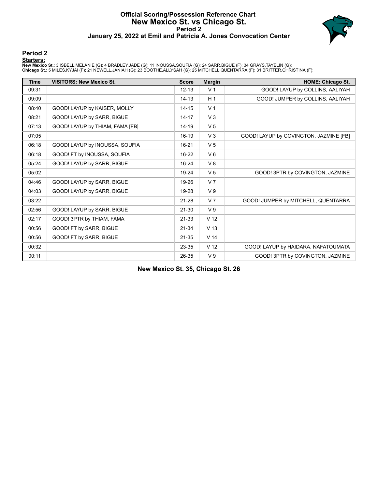# **Official Scoring/Possession Reference Chart New Mexico St. vs Chicago St. Period 2 January 25, 2022 at Emil and Patricia A. Jones Convocation Center**



### **Period 2**

### **Starters:**

New Mexico St.: 3 ISBELL,MELANIE (G); 4 BRADLEY,JADE (G); 11 INOUSSA,SOUFIA (G); 24 SARR,BIGUE (F); 34 GRAYS,TAYELIN (G);<br>Chicago St.: 5 MILES,KYJAI (F); 21 NEWELL,JANIAH (G); 23 BOOTHE,ALLYSAH (G); 25 MITCHELL,QUENTARRA (

| <b>Time</b> | <b>VISITORS: New Mexico St.</b> | <b>Score</b> | <b>Margin</b>   | <b>HOME: Chicago St.</b>               |
|-------------|---------------------------------|--------------|-----------------|----------------------------------------|
| 09:31       |                                 | $12 - 13$    | V <sub>1</sub>  | GOOD! LAYUP by COLLINS, AALIYAH        |
| 09:09       |                                 | $14 - 13$    | H <sub>1</sub>  | GOOD! JUMPER by COLLINS, AALIYAH       |
| 08:40       | GOOD! LAYUP by KAISER, MOLLY    | $14 - 15$    | V <sub>1</sub>  |                                        |
| 08:21       | GOOD! LAYUP by SARR, BIGUE      | $14 - 17$    | V <sub>3</sub>  |                                        |
| 07:13       | GOOD! LAYUP by THIAM, FAMA [FB] | 14-19        | V <sub>5</sub>  |                                        |
| 07:05       |                                 | $16 - 19$    | V <sub>3</sub>  | GOOD! LAYUP by COVINGTON, JAZMINE [FB] |
| 06:18       | GOOD! LAYUP by INOUSSA, SOUFIA  | $16 - 21$    | V <sub>5</sub>  |                                        |
| 06:18       | GOOD! FT by INOUSSA, SOUFIA     | $16 - 22$    | $V_6$           |                                        |
| 05:24       | GOOD! LAYUP by SARR, BIGUE      | $16 - 24$    | V8              |                                        |
| 05:02       |                                 | 19-24        | V <sub>5</sub>  | GOOD! 3PTR by COVINGTON, JAZMINE       |
| 04:46       | GOOD! LAYUP by SARR, BIGUE      | 19-26        | V <sub>7</sub>  |                                        |
| 04:03       | GOOD! LAYUP by SARR, BIGUE      | 19-28        | V <sub>9</sub>  |                                        |
| 03:22       |                                 | $21 - 28$    | V <sub>7</sub>  | GOOD! JUMPER by MITCHELL, QUENTARRA    |
| 02:56       | GOOD! LAYUP by SARR, BIGUE      | $21 - 30$    | V <sub>9</sub>  |                                        |
| 02:17       | GOOD! 3PTR by THIAM, FAMA       | 21-33        | V <sub>12</sub> |                                        |
| 00:56       | GOOD! FT by SARR, BIGUE         | $21 - 34$    | V <sub>13</sub> |                                        |
| 00:56       | GOOD! FT by SARR, BIGUE         | $21 - 35$    | V <sub>14</sub> |                                        |
| 00:32       |                                 | 23-35        | V <sub>12</sub> | GOOD! LAYUP by HAIDARA, NAFATOUMATA    |
| 00:11       |                                 | 26-35        | V <sub>9</sub>  | GOOD! 3PTR by COVINGTON, JAZMINE       |

**New Mexico St. 35, Chicago St. 26**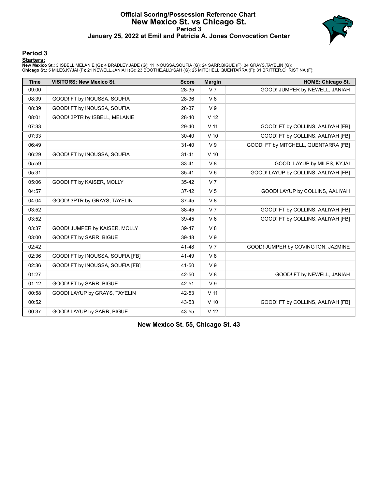# **Official Scoring/Possession Reference Chart New Mexico St. vs Chicago St. Period 3 January 25, 2022 at Emil and Patricia A. Jones Convocation Center**



### **Period 3**

<mark>Starters:</mark><br>New Mexico St.: 3 ISBELL,MELANIE (G); 4 BRADLEY,JADE (G); 11 INOUSSA,SOUFIA (G); 24 SARR,BIGUE (F); 34 GRAYS,TAYELIN (G);<br>Chicago St.: 5 MILES,KYJAI (F); 21 NEWELL,JANIAH (G); 23 BOOTHE,ALLYSAH (G); 25 MITCHELL

| <b>Time</b> | <b>VISITORS: New Mexico St.</b>  | <b>Score</b> | <b>Margin</b>   | <b>HOME: Chicago St.</b>             |
|-------------|----------------------------------|--------------|-----------------|--------------------------------------|
| 09:00       |                                  | 28-35        | V <sub>7</sub>  | GOOD! JUMPER by NEWELL, JANIAH       |
| 08:39       | GOOD! FT by INOUSSA, SOUFIA      | 28-36        | V8              |                                      |
| 08:39       | GOOD! FT by INOUSSA, SOUFIA      | 28-37        | V <sub>9</sub>  |                                      |
| 08:01       | GOOD! 3PTR by ISBELL, MELANIE    | 28-40        | V <sub>12</sub> |                                      |
| 07:33       |                                  | 29-40        | V <sub>11</sub> | GOOD! FT by COLLINS, AALIYAH [FB]    |
| 07:33       |                                  | $30 - 40$    | $V$ 10          | GOOD! FT by COLLINS, AALIYAH [FB]    |
| 06:49       |                                  | $31 - 40$    | V <sub>9</sub>  | GOOD! FT by MITCHELL, QUENTARRA [FB] |
| 06:29       | GOOD! FT by INOUSSA, SOUFIA      | $31 - 41$    | $V$ 10          |                                      |
| 05:59       |                                  | 33-41        | V8              | GOOD! LAYUP by MILES, KYJAI          |
| 05:31       |                                  | $35 - 41$    | $V_6$           | GOOD! LAYUP by COLLINS, AALIYAH [FB] |
| 05:06       | GOOD! FT by KAISER, MOLLY        | 35-42        | V <sub>7</sub>  |                                      |
| 04:57       |                                  | $37-42$      | V <sub>5</sub>  | GOOD! LAYUP by COLLINS, AALIYAH      |
| 04:04       | GOOD! 3PTR by GRAYS, TAYELIN     | $37 - 45$    | V8              |                                      |
| 03:52       |                                  | 38-45        | V <sub>7</sub>  | GOOD! FT by COLLINS, AALIYAH [FB]    |
| 03:52       |                                  | 39-45        | $V_6$           | GOOD! FT by COLLINS, AALIYAH [FB]    |
| 03:37       | GOOD! JUMPER by KAISER, MOLLY    | 39-47        | V8              |                                      |
| 03:00       | GOOD! FT by SARR, BIGUE          | 39-48        | V <sub>9</sub>  |                                      |
| 02:42       |                                  | 41-48        | V <sub>7</sub>  | GOOD! JUMPER by COVINGTON, JAZMINE   |
| 02:36       | GOOD! FT by INOUSSA, SOUFIA [FB] | 41-49        | V8              |                                      |
| 02:36       | GOOD! FT by INOUSSA, SOUFIA [FB] | 41-50        | V <sub>9</sub>  |                                      |
| 01:27       |                                  | 42-50        | V8              | GOOD! FT by NEWELL, JANIAH           |
| 01:12       | GOOD! FT by SARR, BIGUE          | 42-51        | V <sub>9</sub>  |                                      |
| 00:58       | GOOD! LAYUP by GRAYS, TAYELIN    | 42-53        | V <sub>11</sub> |                                      |
| 00:52       |                                  | 43-53        | $V$ 10          | GOOD! FT by COLLINS, AALIYAH [FB]    |
| 00:37       | GOOD! LAYUP by SARR, BIGUE       | 43-55        | V <sub>12</sub> |                                      |

**New Mexico St. 55, Chicago St. 43**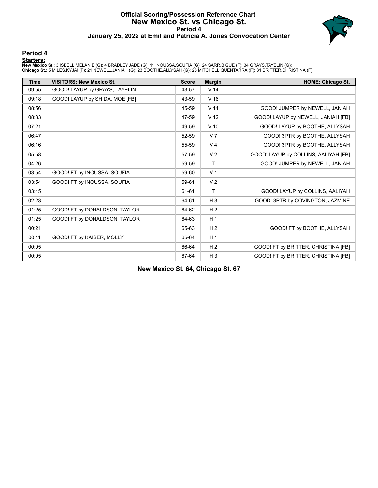# **Official Scoring/Possession Reference Chart New Mexico St. vs Chicago St. Period 4 January 25, 2022 at Emil and Patricia A. Jones Convocation Center**



### **Period 4**

<mark>Starters:</mark><br>New Mexico St.: 3 ISBELL,MELANIE (G); 4 BRADLEY,JADE (G); 11 INOUSSA,SOUFIA (G); 24 SARR,BIGUE (F); 34 GRAYS,TAYELIN (G);<br>Chicago St.: 5 MILES,KYJAI (F); 21 NEWELL,JANIAH (G); 23 BOOTHE,ALLYSAH (G); 25 MITCHELL

| <b>Time</b> | <b>VISITORS: New Mexico St.</b> | <b>Score</b> | <b>Margin</b>   | <b>HOME: Chicago St.</b>             |
|-------------|---------------------------------|--------------|-----------------|--------------------------------------|
| 09:55       | GOOD! LAYUP by GRAYS, TAYELIN   | 43-57        | V <sub>14</sub> |                                      |
| 09:18       | GOOD! LAYUP by SHIDA, MOE [FB]  | 43-59        | V <sub>16</sub> |                                      |
| 08:56       |                                 | 45-59        | V <sub>14</sub> | GOOD! JUMPER by NEWELL, JANIAH       |
| 08:33       |                                 | 47-59        | V <sub>12</sub> | GOOD! LAYUP by NEWELL, JANIAH [FB]   |
| 07:21       |                                 | 49-59        | $V$ 10          | GOOD! LAYUP by BOOTHE, ALLYSAH       |
| 06:47       |                                 | 52-59        | V <sub>7</sub>  | GOOD! 3PTR by BOOTHE, ALLYSAH        |
| 06:16       |                                 | 55-59        | V <sub>4</sub>  | GOOD! 3PTR by BOOTHE, ALLYSAH        |
| 05:58       |                                 | 57-59        | V <sub>2</sub>  | GOOD! LAYUP by COLLINS, AALIYAH [FB] |
| 04:26       |                                 | 59-59        | $\mathsf{T}$    | GOOD! JUMPER by NEWELL, JANIAH       |
| 03:54       | GOOD! FT by INOUSSA, SOUFIA     | 59-60        | V <sub>1</sub>  |                                      |
| 03:54       | GOOD! FT by INOUSSA, SOUFIA     | 59-61        | V <sub>2</sub>  |                                      |
| 03:45       |                                 | 61-61        | T               | GOOD! LAYUP by COLLINS, AALIYAH      |
| 02:23       |                                 | 64-61        | $H_3$           | GOOD! 3PTR by COVINGTON, JAZMINE     |
| 01:25       | GOOD! FT by DONALDSON, TAYLOR   | 64-62        | H <sub>2</sub>  |                                      |
| 01:25       | GOOD! FT by DONALDSON, TAYLOR   | 64-63        | H <sub>1</sub>  |                                      |
| 00:21       |                                 | 65-63        | H <sub>2</sub>  | GOOD! FT by BOOTHE, ALLYSAH          |
| 00:11       | GOOD! FT by KAISER, MOLLY       | 65-64        | H <sub>1</sub>  |                                      |
| 00:05       |                                 | 66-64        | H <sub>2</sub>  | GOOD! FT by BRITTER, CHRISTINA [FB]  |
| 00:05       |                                 | 67-64        | $H_3$           | GOOD! FT by BRITTER, CHRISTINA [FB]  |

**New Mexico St. 64, Chicago St. 67**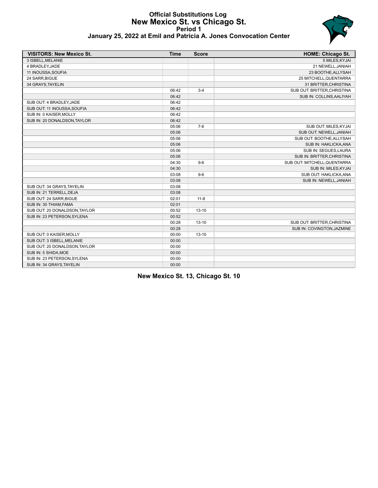### **Official Substitutions Log New Mexico St. vs Chicago St. Period 1 January 25, 2022 at Emil and Patricia A. Jones Convocation Center**



| <b>VISITORS: New Mexico St.</b> | <b>Time</b> | <b>Score</b> | <b>HOME: Chicago St.</b>     |
|---------------------------------|-------------|--------------|------------------------------|
| 3 ISBELL.MELANIE                |             |              | 5 MILES, KYJAI               |
| 4 BRADLEY, JADE                 |             |              | 21 NEWELL, JANIAH            |
| 11 INOUSSA, SOUFIA              |             |              | 23 BOOTHE, ALLYSAH           |
| 24 SARR, BIGUE                  |             |              | 25 MITCHELL, QUENTARRA       |
| 34 GRAYS, TAYELIN               |             |              | 31 BRITTER, CHRISTINA        |
|                                 | 06:42       | $3 - 4$      | SUB OUT: BRITTER, CHRISTINA  |
|                                 | 06:42       |              | SUB IN: COLLINS, AALIYAH     |
| SUB OUT: 4 BRADLEY, JADE        | 06:42       |              |                              |
| SUB OUT: 11 INOUSSA, SOUFIA     | 06:42       |              |                              |
| SUB IN: 0 KAISER, MOLLY         | 06:42       |              |                              |
| SUB IN: 20 DONALDSON, TAYLOR    | 06:42       |              |                              |
|                                 | 05:06       | $7-6$        | SUB OUT: MILES, KYJAI        |
|                                 | 05:06       |              | SUB OUT: NEWELL, JANIAH      |
|                                 | 05:06       |              | SUB OUT: BOOTHE, ALLYSAH     |
|                                 | 05:06       |              | SUB IN: HAKLICKA, ANA        |
|                                 | 05:06       |              | SUB IN: SEGUES.LAURA         |
|                                 | 05:06       |              | SUB IN: BRITTER, CHRISTINA   |
|                                 | 04:30       | $9-6$        | SUB OUT: MITCHELL, QUENTARRA |
|                                 | 04:30       |              | SUB IN: MILES, KYJAI         |
|                                 | 03:08       | $9-6$        | SUB OUT: HAKLICKA, ANA       |
|                                 | 03:08       |              | SUB IN: NEWELL, JANIAH       |
| SUB OUT: 34 GRAYS, TAYELIN      | 03:08       |              |                              |
| SUB IN: 21 TERRELL, DEJA        | 03:08       |              |                              |
| SUB OUT: 24 SARR, BIGUE         | 02:01       | $11 - 8$     |                              |
| SUB IN: 30 THIAM, FAMA          | 02:01       |              |                              |
| SUB OUT: 20 DONALDSON, TAYLOR   | 00:52       | $13 - 10$    |                              |
| SUB IN: 23 PETERSON, SYLENA     | 00:52       |              |                              |
|                                 | 00:28       | $13 - 10$    | SUB OUT: BRITTER, CHRISTINA  |
|                                 | 00:28       |              | SUB IN: COVINGTON, JAZMINE   |
| SUB OUT: 0 KAISER, MOLLY        | 00:00       | $13 - 10$    |                              |
| SUB OUT: 3 ISBELL.MELANIE       | 00:00       |              |                              |
| SUB OUT: 20 DONALDSON, TAYLOR   | 00:00       |              |                              |

**New Mexico St. 13, Chicago St. 10**

SUB IN: 5 SHIDA, MOE 00:00 SUB IN: 23 PETERSON, SYLENA 00:00 SUB IN: 34 GRAYS, TAYELIN 00:00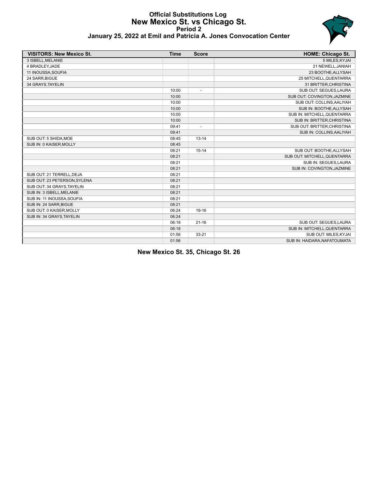### **Official Substitutions Log New Mexico St. vs Chicago St. Period 2 January 25, 2022 at Emil and Patricia A. Jones Convocation Center**



| <b>VISITORS: New Mexico St.</b> | <b>Time</b> | <b>Score</b>             | <b>HOME: Chicago St.</b>     |
|---------------------------------|-------------|--------------------------|------------------------------|
| 3 ISBELL, MELANIE               |             |                          | 5 MILES, KYJAI               |
| 4 BRADLEY, JADE                 |             |                          | 21 NEWELL, JANIAH            |
| 11 INOUSSA, SOUFIA              |             |                          | 23 BOOTHE, ALLYSAH           |
| 24 SARR, BIGUE                  |             |                          | 25 MITCHELL, QUENTARRA       |
| 34 GRAYS, TAYELIN               |             |                          | 31 BRITTER, CHRISTINA        |
|                                 | 10:00       | $\overline{\phantom{a}}$ | SUB OUT: SEGUES, LAURA       |
|                                 | 10:00       |                          | SUB OUT: COVINGTON, JAZMINE  |
|                                 | 10:00       |                          | SUB OUT: COLLINS, AALIYAH    |
|                                 | 10:00       |                          | SUB IN: BOOTHE, ALLYSAH      |
|                                 | 10:00       |                          | SUB IN: MITCHELL, QUENTARRA  |
|                                 | 10:00       |                          | SUB IN: BRITTER, CHRISTINA   |
|                                 | 09:41       | $\overline{a}$           | SUB OUT: BRITTER, CHRISTINA  |
|                                 | 09:41       |                          | SUB IN: COLLINS, AALIYAH     |
| SUB OUT: 5 SHIDA, MOE           | 08:45       | $13 - 14$                |                              |
| SUB IN: 0 KAISER, MOLLY         | 08:45       |                          |                              |
|                                 | 08:21       | $15 - 14$                | SUB OUT: BOOTHE, ALLYSAH     |
|                                 | 08:21       |                          | SUB OUT: MITCHELL, QUENTARRA |
|                                 | 08:21       |                          | SUB IN: SEGUES, LAURA        |
|                                 | 08:21       |                          | SUB IN: COVINGTON, JAZMINE   |
| SUB OUT: 21 TERRELL, DEJA       | 08:21       |                          |                              |
| SUB OUT: 23 PETERSON, SYLENA    | 08:21       |                          |                              |
| SUB OUT: 34 GRAYS, TAYELIN      | 08:21       |                          |                              |
| SUB IN: 3 ISBELL, MELANIE       | 08:21       |                          |                              |
| SUB IN: 11 INOUSSA, SOUFIA      | 08:21       |                          |                              |
| SUB IN: 24 SARR, BIGUE          | 08:21       |                          |                              |
| SUB OUT: 0 KAISER, MOLLY        | 06:24       | 19-16                    |                              |
| SUB IN: 34 GRAYS, TAYELIN       | 06:24       |                          |                              |
|                                 | 06:18       | $21 - 16$                | SUB OUT: SEGUES, LAURA       |
|                                 | 06:18       |                          | SUB IN: MITCHELL, QUENTARRA  |
|                                 | 01:56       | $33 - 21$                | SUB OUT: MILES, KYJAI        |
|                                 | 01:56       |                          | SUB IN: HAIDARA, NAFATOUMATA |

**New Mexico St. 35, Chicago St. 26**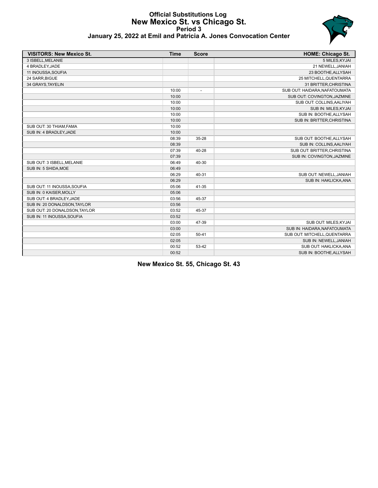### **Official Substitutions Log New Mexico St. vs Chicago St. Period 3 January 25, 2022 at Emil and Patricia A. Jones Convocation Center**



| <b>VISITORS: New Mexico St.</b> | <b>Time</b> | <b>Score</b>   | <b>HOME: Chicago St.</b>      |
|---------------------------------|-------------|----------------|-------------------------------|
| 3 ISBELL, MELANIE               |             |                | 5 MILES, KYJAI                |
| 4 BRADLEY, JADE                 |             |                | 21 NEWELL, JANIAH             |
| 11 INOUSSA, SOUFIA              |             |                | 23 BOOTHE, ALLYSAH            |
| 24 SARR, BIGUE                  |             |                | 25 MITCHELL, QUENTARRA        |
| 34 GRAYS, TAYELIN               |             |                | 31 BRITTER, CHRISTINA         |
|                                 | 10:00       | $\overline{a}$ | SUB OUT: HAIDARA, NAFATOUMATA |
|                                 | 10:00       |                | SUB OUT: COVINGTON, JAZMINE   |
|                                 | 10:00       |                | SUB OUT: COLLINS, AALIYAH     |
|                                 | 10:00       |                | SUB IN: MILES, KYJAI          |
|                                 | 10:00       |                | SUB IN: BOOTHE, ALLYSAH       |
|                                 | 10:00       |                | SUB IN: BRITTER, CHRISTINA    |
| SUB OUT: 30 THIAM, FAMA         | 10:00       |                |                               |
| SUB IN: 4 BRADLEY, JADE         | 10:00       |                |                               |
|                                 | 08:39       | 35-28          | SUB OUT: BOOTHE, ALLYSAH      |
|                                 | 08:39       |                | SUB IN: COLLINS, AALIYAH      |
|                                 | 07:39       | 40-28          | SUB OUT: BRITTER, CHRISTINA   |
|                                 | 07:39       |                | SUB IN: COVINGTON, JAZMINE    |
| SUB OUT: 3 ISBELL, MELANIE      | 06:49       | 40-30          |                               |
| SUB IN: 5 SHIDA, MOE            | 06:49       |                |                               |
|                                 | 06:29       | 40-31          | SUB OUT: NEWELL, JANIAH       |
|                                 | 06:29       |                | SUB IN: HAKLICKA, ANA         |
| SUB OUT: 11 INOUSSA, SOUFIA     | 05:06       | 41-35          |                               |
| SUB IN: 0 KAISER, MOLLY         | 05:06       |                |                               |
| SUB OUT: 4 BRADLEY, JADE        | 03:56       | 45-37          |                               |
| SUB IN: 20 DONALDSON, TAYLOR    | 03:56       |                |                               |
| SUB OUT: 20 DONALDSON, TAYLOR   | 03:52       | 45-37          |                               |
| SUB IN: 11 INOUSSA, SOUFIA      | 03:52       |                |                               |
|                                 | 03:00       | 47-39          | SUB OUT: MILES, KYJAI         |
|                                 | 03:00       |                | SUB IN: HAIDARA, NAFATOUMATA  |
|                                 | 02:05       | $50 - 41$      | SUB OUT: MITCHELL, QUENTARRA  |
|                                 | 02:05       |                | SUB IN: NEWELL, JANIAH        |
|                                 | 00:52       | 53-42          | SUB OUT: HAKLICKA, ANA        |
|                                 | 00:52       |                | SUB IN: BOOTHE, ALLYSAH       |

**New Mexico St. 55, Chicago St. 43**